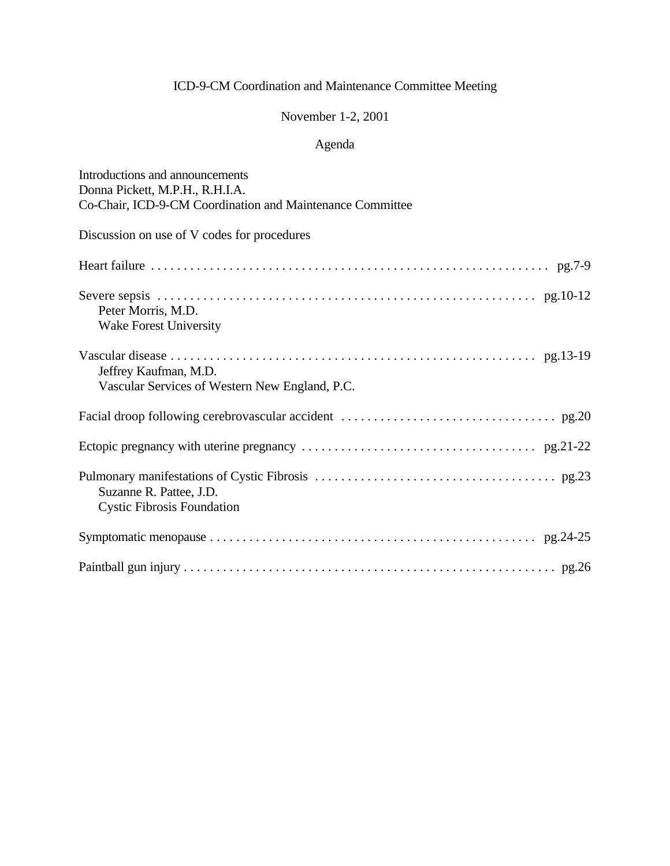# November 1-2, 2001

# Agenda

| Introductions and announcements                                         |
|-------------------------------------------------------------------------|
| Donna Pickett, M.P.H., R.H.I.A.                                         |
| Co-Chair, ICD-9-CM Coordination and Maintenance Committee               |
| Discussion on use of V codes for procedures                             |
|                                                                         |
| Peter Morris, M.D.<br><b>Wake Forest University</b>                     |
| Jeffrey Kaufman, M.D.<br>Vascular Services of Western New England, P.C. |
|                                                                         |
|                                                                         |
| Suzanne R. Pattee, J.D.<br><b>Cystic Fibrosis Foundation</b>            |
|                                                                         |
|                                                                         |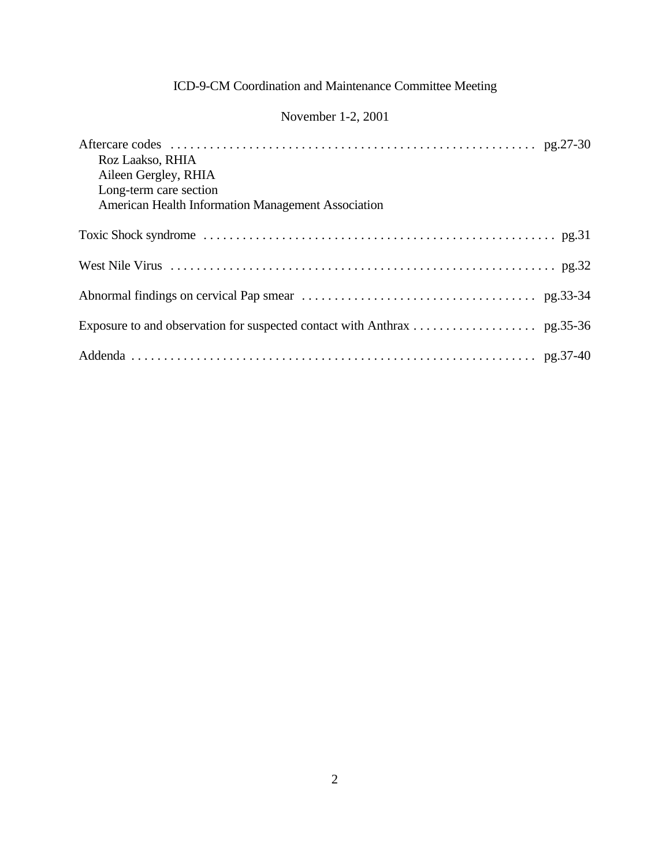# November 1-2, 2001

| Roz Laakso, RHIA<br>Aileen Gergley, RHIA<br>Long-term care section<br>American Health Information Management Association |
|--------------------------------------------------------------------------------------------------------------------------|
|                                                                                                                          |
|                                                                                                                          |
|                                                                                                                          |
|                                                                                                                          |
|                                                                                                                          |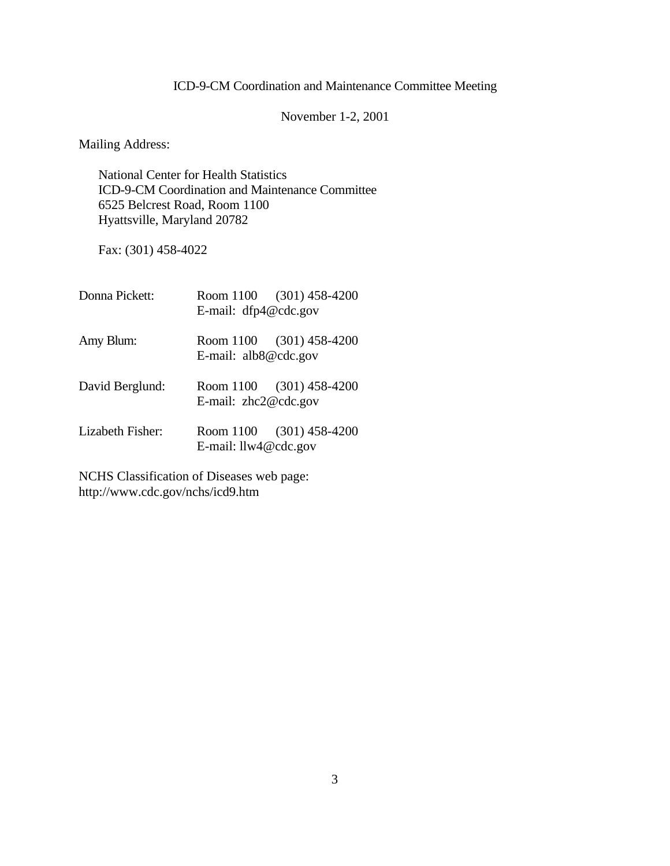November 1-2, 2001

Mailing Address:

National Center for Health Statistics ICD-9-CM Coordination and Maintenance Committee 6525 Belcrest Road, Room 1100 Hyattsville, Maryland 20782

Fax: (301) 458-4022

| Donna Pickett:   | E-mail: dfp4@cdc.gov   | Room 1100 (301) 458-4200 |
|------------------|------------------------|--------------------------|
| Amy Blum:        | E-mail: alb8@cdc.gov   | Room 1100 (301) 458-4200 |
| David Berglund:  | E-mail: $zhc2@cdc.gov$ | Room 1100 (301) 458-4200 |
| Lizabeth Fisher: | E-mail: llw4@cdc.gov   | Room 1100 (301) 458-4200 |

NCHS Classification of Diseases web page: http://www.cdc.gov/nchs/icd9.htm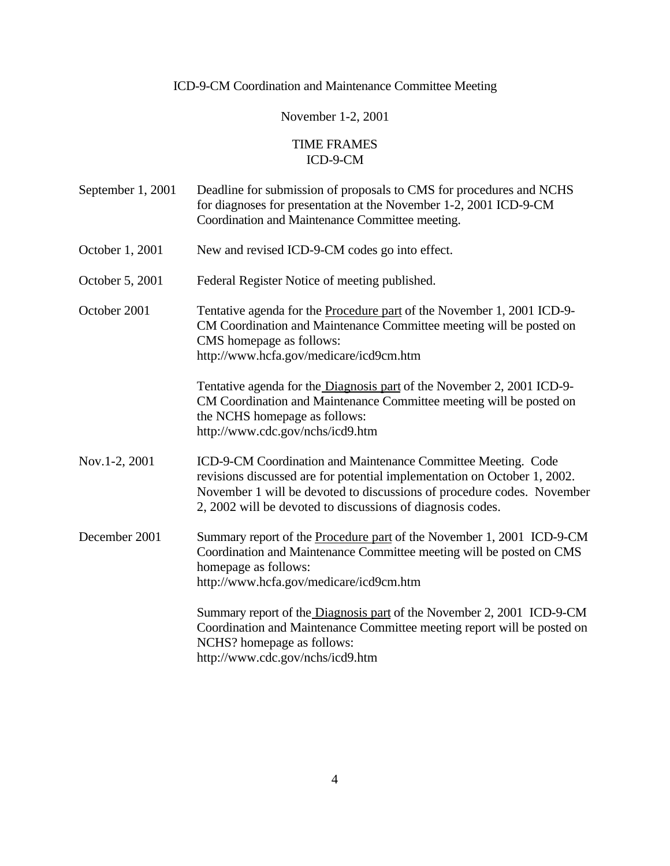# November 1-2, 2001

### TIME FRAMES ICD-9-CM

| September 1, 2001 | Deadline for submission of proposals to CMS for procedures and NCHS<br>for diagnoses for presentation at the November 1-2, 2001 ICD-9-CM<br>Coordination and Maintenance Committee meeting.                                                                                       |
|-------------------|-----------------------------------------------------------------------------------------------------------------------------------------------------------------------------------------------------------------------------------------------------------------------------------|
| October 1, 2001   | New and revised ICD-9-CM codes go into effect.                                                                                                                                                                                                                                    |
| October 5, 2001   | Federal Register Notice of meeting published.                                                                                                                                                                                                                                     |
| October 2001      | Tentative agenda for the Procedure part of the November 1, 2001 ICD-9-<br>CM Coordination and Maintenance Committee meeting will be posted on<br>CMS homepage as follows:<br>http://www.hcfa.gov/medicare/icd9cm.htm                                                              |
|                   | Tentative agenda for the Diagnosis part of the November 2, 2001 ICD-9-<br>CM Coordination and Maintenance Committee meeting will be posted on<br>the NCHS homepage as follows:<br>http://www.cdc.gov/nchs/icd9.htm                                                                |
| Nov.1-2, 2001     | ICD-9-CM Coordination and Maintenance Committee Meeting. Code<br>revisions discussed are for potential implementation on October 1, 2002.<br>November 1 will be devoted to discussions of procedure codes. November<br>2, 2002 will be devoted to discussions of diagnosis codes. |
| December 2001     | Summary report of the Procedure part of the November 1, 2001 ICD-9-CM<br>Coordination and Maintenance Committee meeting will be posted on CMS<br>homepage as follows:<br>http://www.hcfa.gov/medicare/icd9cm.htm                                                                  |
|                   | Summary report of the Diagnosis part of the November 2, 2001 ICD-9-CM<br>Coordination and Maintenance Committee meeting report will be posted on<br>NCHS? homepage as follows:<br>http://www.cdc.gov/nchs/icd9.htm                                                                |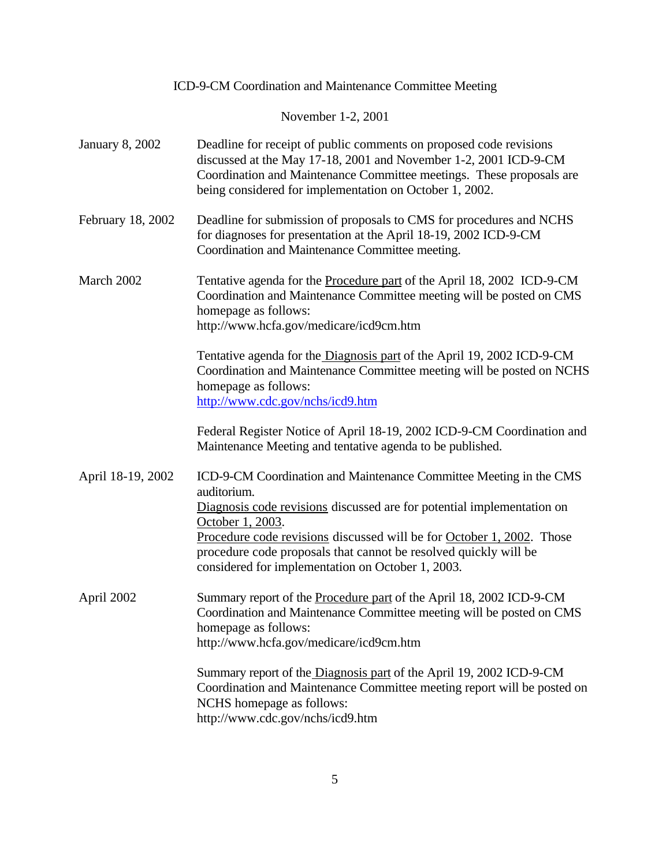|                        | ICD-9-CM Coordination and Maintenance Committee Meeting                                                                                                                                                                                                                                                                                                                           |
|------------------------|-----------------------------------------------------------------------------------------------------------------------------------------------------------------------------------------------------------------------------------------------------------------------------------------------------------------------------------------------------------------------------------|
|                        | November 1-2, 2001                                                                                                                                                                                                                                                                                                                                                                |
| <b>January 8, 2002</b> | Deadline for receipt of public comments on proposed code revisions<br>discussed at the May 17-18, 2001 and November 1-2, 2001 ICD-9-CM<br>Coordination and Maintenance Committee meetings. These proposals are<br>being considered for implementation on October 1, 2002.                                                                                                         |
| February 18, 2002      | Deadline for submission of proposals to CMS for procedures and NCHS<br>for diagnoses for presentation at the April 18-19, 2002 ICD-9-CM<br>Coordination and Maintenance Committee meeting.                                                                                                                                                                                        |
| March 2002             | Tentative agenda for the Procedure part of the April 18, 2002 ICD-9-CM<br>Coordination and Maintenance Committee meeting will be posted on CMS<br>homepage as follows:<br>http://www.hcfa.gov/medicare/icd9cm.htm                                                                                                                                                                 |
|                        | Tentative agenda for the Diagnosis part of the April 19, 2002 ICD-9-CM<br>Coordination and Maintenance Committee meeting will be posted on NCHS<br>homepage as follows:<br>http://www.cdc.gov/nchs/icd9.htm                                                                                                                                                                       |
|                        | Federal Register Notice of April 18-19, 2002 ICD-9-CM Coordination and<br>Maintenance Meeting and tentative agenda to be published.                                                                                                                                                                                                                                               |
| April 18-19, 2002      | ICD-9-CM Coordination and Maintenance Committee Meeting in the CMS<br>auditorium.<br>Diagnosis code revisions discussed are for potential implementation on<br>October 1, 2003.<br>Procedure code revisions discussed will be for October 1, 2002. Those<br>procedure code proposals that cannot be resolved quickly will be<br>considered for implementation on October 1, 2003. |
| April 2002             | Summary report of the Procedure part of the April 18, 2002 ICD-9-CM<br>Coordination and Maintenance Committee meeting will be posted on CMS<br>homepage as follows:<br>http://www.hcfa.gov/medicare/icd9cm.htm                                                                                                                                                                    |
|                        | Summary report of the Diagnosis part of the April 19, 2002 ICD-9-CM<br>Coordination and Maintenance Committee meeting report will be posted on<br>NCHS homepage as follows:<br>http://www.cdc.gov/nchs/icd9.htm                                                                                                                                                                   |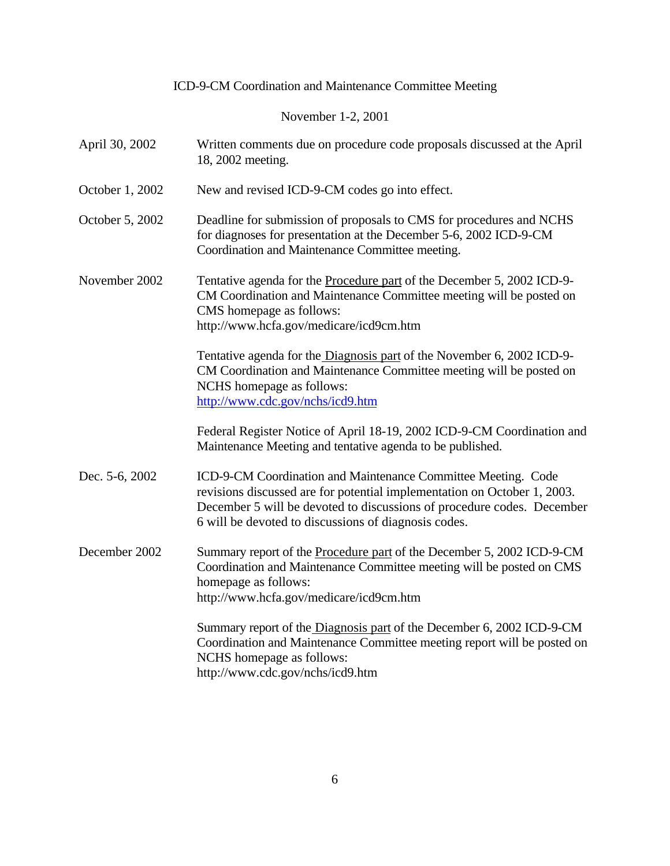November 1-2, 2001

| April 30, 2002  | Written comments due on procedure code proposals discussed at the April<br>18, 2002 meeting.                                                                                                                                                                                |
|-----------------|-----------------------------------------------------------------------------------------------------------------------------------------------------------------------------------------------------------------------------------------------------------------------------|
| October 1, 2002 | New and revised ICD-9-CM codes go into effect.                                                                                                                                                                                                                              |
| October 5, 2002 | Deadline for submission of proposals to CMS for procedures and NCHS<br>for diagnoses for presentation at the December 5-6, 2002 ICD-9-CM<br>Coordination and Maintenance Committee meeting.                                                                                 |
| November 2002   | Tentative agenda for the <b>Procedure part</b> of the December 5, 2002 ICD-9-<br>CM Coordination and Maintenance Committee meeting will be posted on<br>CMS homepage as follows:<br>http://www.hcfa.gov/medicare/icd9cm.htm                                                 |
|                 | Tentative agenda for the Diagnosis part of the November 6, 2002 ICD-9-<br>CM Coordination and Maintenance Committee meeting will be posted on<br>NCHS homepage as follows:<br>http://www.cdc.gov/nchs/icd9.htm                                                              |
|                 | Federal Register Notice of April 18-19, 2002 ICD-9-CM Coordination and<br>Maintenance Meeting and tentative agenda to be published.                                                                                                                                         |
| Dec. 5-6, 2002  | ICD-9-CM Coordination and Maintenance Committee Meeting. Code<br>revisions discussed are for potential implementation on October 1, 2003.<br>December 5 will be devoted to discussions of procedure codes. December<br>6 will be devoted to discussions of diagnosis codes. |
| December 2002   | Summary report of the Procedure part of the December 5, 2002 ICD-9-CM<br>Coordination and Maintenance Committee meeting will be posted on CMS<br>homepage as follows:<br>http://www.hcfa.gov/medicare/icd9cm.htm                                                            |
|                 | Summary report of the Diagnosis part of the December 6, 2002 ICD-9-CM<br>Coordination and Maintenance Committee meeting report will be posted on<br>NCHS homepage as follows:<br>http://www.cdc.gov/nchs/icd9.htm                                                           |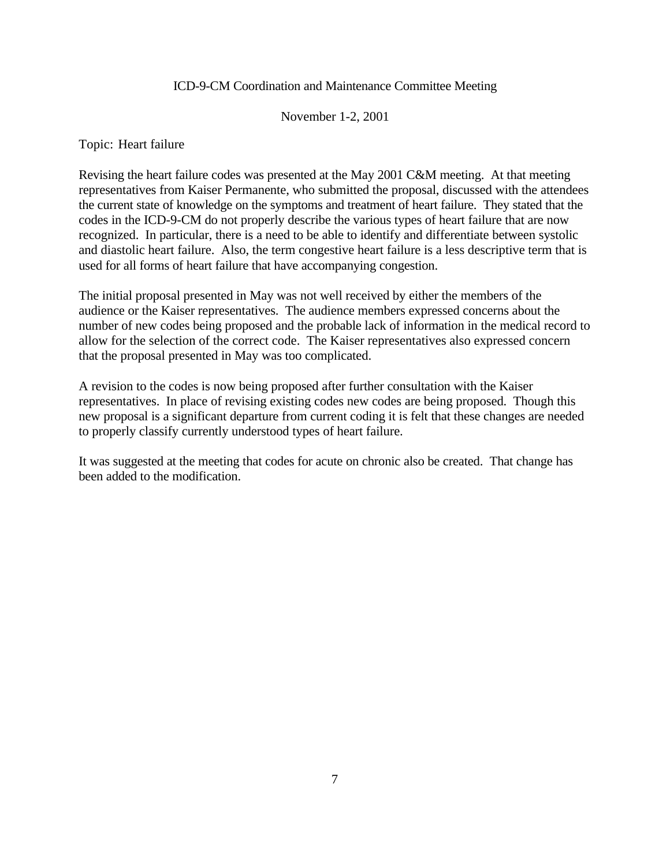#### November 1-2, 2001

Topic: Heart failure

Revising the heart failure codes was presented at the May 2001 C&M meeting. At that meeting representatives from Kaiser Permanente, who submitted the proposal, discussed with the attendees the current state of knowledge on the symptoms and treatment of heart failure. They stated that the codes in the ICD-9-CM do not properly describe the various types of heart failure that are now recognized. In particular, there is a need to be able to identify and differentiate between systolic and diastolic heart failure. Also, the term congestive heart failure is a less descriptive term that is used for all forms of heart failure that have accompanying congestion.

The initial proposal presented in May was not well received by either the members of the audience or the Kaiser representatives. The audience members expressed concerns about the number of new codes being proposed and the probable lack of information in the medical record to allow for the selection of the correct code. The Kaiser representatives also expressed concern that the proposal presented in May was too complicated.

A revision to the codes is now being proposed after further consultation with the Kaiser representatives. In place of revising existing codes new codes are being proposed. Though this new proposal is a significant departure from current coding it is felt that these changes are needed to properly classify currently understood types of heart failure.

It was suggested at the meeting that codes for acute on chronic also be created. That change has been added to the modification.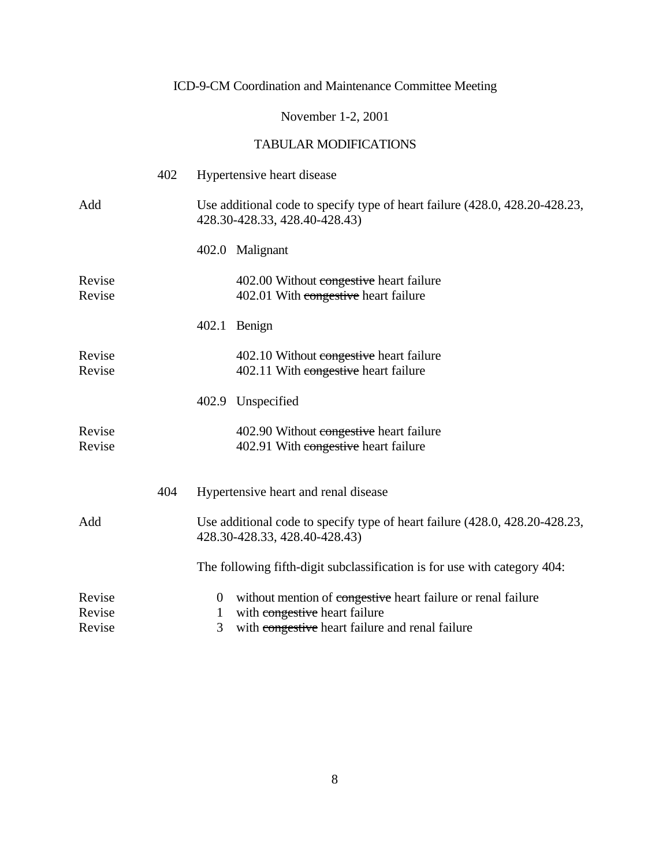### November 1-2, 2001

|                  | 402 | Hypertensive heart disease                                                                                   |
|------------------|-----|--------------------------------------------------------------------------------------------------------------|
| Add              |     | Use additional code to specify type of heart failure (428.0, 428.20-428.23,<br>428.30-428.33, 428.40-428.43) |
|                  |     | 402.0 Malignant                                                                                              |
| Revise<br>Revise |     | 402.00 Without congestive heart failure<br>402.01 With congestive heart failure                              |
|                  |     | 402.1 Benign                                                                                                 |
| Revise<br>Revise |     | 402.10 Without congestive heart failure<br>402.11 With congestive heart failure                              |
|                  |     | 402.9 Unspecified                                                                                            |
| Revise<br>Revise |     | 402.90 Without congestive heart failure<br>402.91 With congestive heart failure                              |
|                  | 404 | Hypertensive heart and renal disease                                                                         |
| Add              |     | Use additional code to specify type of heart failure (428.0, 428.20-428.23,<br>428.30-428.33, 428.40-428.43) |
|                  |     | The following fifth-digit subclassification is for use with category 404:                                    |
| Revise           |     | without mention of congestive heart failure or renal failure<br>$\overline{0}$                               |
| Revise<br>Revise |     | with congestive heart failure<br>1<br>3<br>with congestive heart failure and renal failure                   |
|                  |     |                                                                                                              |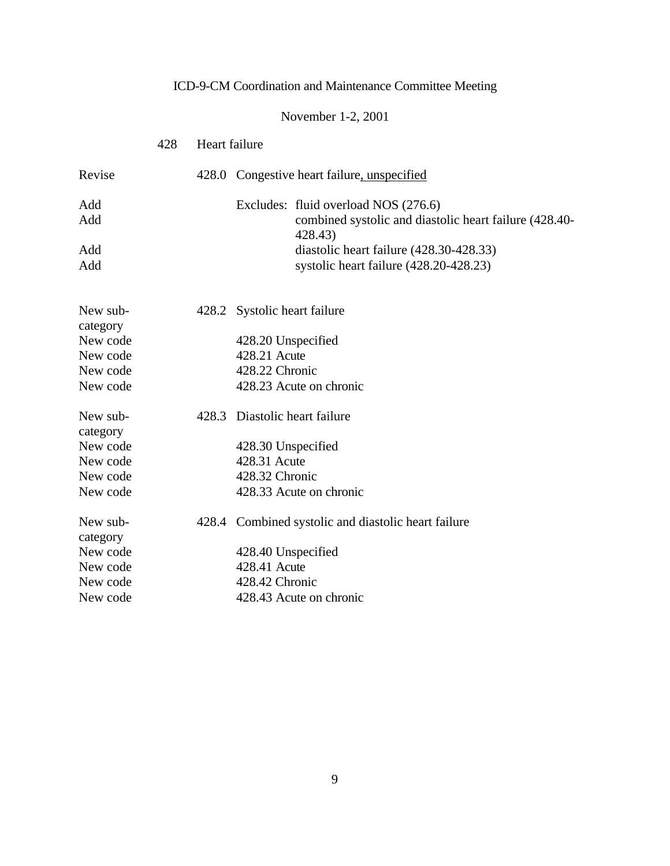# November 1-2, 2001

|                      | 428 | Heart failure |                                                                                                           |
|----------------------|-----|---------------|-----------------------------------------------------------------------------------------------------------|
| Revise               |     |               | 428.0 Congestive heart failure, unspecified                                                               |
| Add<br>Add           |     |               | Excludes: fluid overload NOS (276.6)<br>combined systolic and diastolic heart failure (428.40-<br>428.43) |
| Add<br>Add           |     |               | diastolic heart failure (428.30-428.33)<br>systolic heart failure (428.20-428.23)                         |
| New sub-             |     |               | 428.2 Systolic heart failure                                                                              |
| category<br>New code |     |               | 428.20 Unspecified                                                                                        |
| New code             |     |               | 428.21 Acute                                                                                              |
| New code             |     |               | 428.22 Chronic                                                                                            |
| New code             |     |               | 428.23 Acute on chronic                                                                                   |
| New sub-<br>category |     |               | 428.3 Diastolic heart failure                                                                             |
| New code             |     |               | 428.30 Unspecified                                                                                        |
| New code             |     |               | 428.31 Acute                                                                                              |
| New code             |     |               | 428.32 Chronic                                                                                            |
| New code             |     |               | 428.33 Acute on chronic                                                                                   |
| New sub-<br>category |     |               | 428.4 Combined systolic and diastolic heart failure                                                       |
| New code             |     |               | 428.40 Unspecified                                                                                        |
| New code             |     |               | 428.41 Acute                                                                                              |
| New code             |     |               | 428.42 Chronic                                                                                            |
| New code             |     |               | 428.43 Acute on chronic                                                                                   |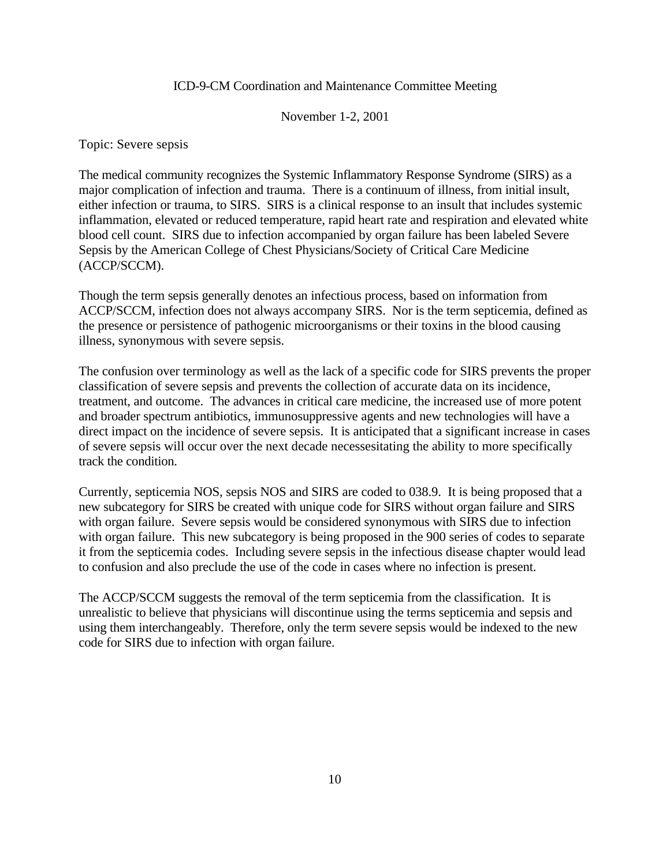#### November 1-2, 2001

Topic: Severe sepsis

The medical community recognizes the Systemic Inflammatory Response Syndrome (SIRS) as a major complication of infection and trauma. There is a continuum of illness, from initial insult, either infection or trauma, to SIRS. SIRS is a clinical response to an insult that includes systemic inflammation, elevated or reduced temperature, rapid heart rate and respiration and elevated white blood cell count. SIRS due to infection accompanied by organ failure has been labeled Severe Sepsis by the American College of Chest Physicians/Society of Critical Care Medicine (ACCP/SCCM).

Though the term sepsis generally denotes an infectious process, based on information from ACCP/SCCM, infection does not always accompany SIRS. Nor is the term septicemia, defined as the presence or persistence of pathogenic microorganisms or their toxins in the blood causing illness, synonymous with severe sepsis.

The confusion over terminology as well as the lack of a specific code for SIRS prevents the proper classification of severe sepsis and prevents the collection of accurate data on its incidence, treatment, and outcome. The advances in critical care medicine, the increased use of more potent and broader spectrum antibiotics, immunosuppressive agents and new technologies will have a direct impact on the incidence of severe sepsis. It is anticipated that a significant increase in cases of severe sepsis will occur over the next decade necessesitating the ability to more specifically track the condition.

Currently, septicemia NOS, sepsis NOS and SIRS are coded to 038.9. It is being proposed that a new subcategory for SIRS be created with unique code for SIRS without organ failure and SIRS with organ failure. Severe sepsis would be considered synonymous with SIRS due to infection with organ failure. This new subcategory is being proposed in the 900 series of codes to separate it from the septicemia codes. Including severe sepsis in the infectious disease chapter would lead to confusion and also preclude the use of the code in cases where no infection is present.

The ACCP/SCCM suggests the removal of the term septicemia from the classification. It is unrealistic to believe that physicians will discontinue using the terms septicemia and sepsis and using them interchangeably. Therefore, only the term severe sepsis would be indexed to the new code for SIRS due to infection with organ failure.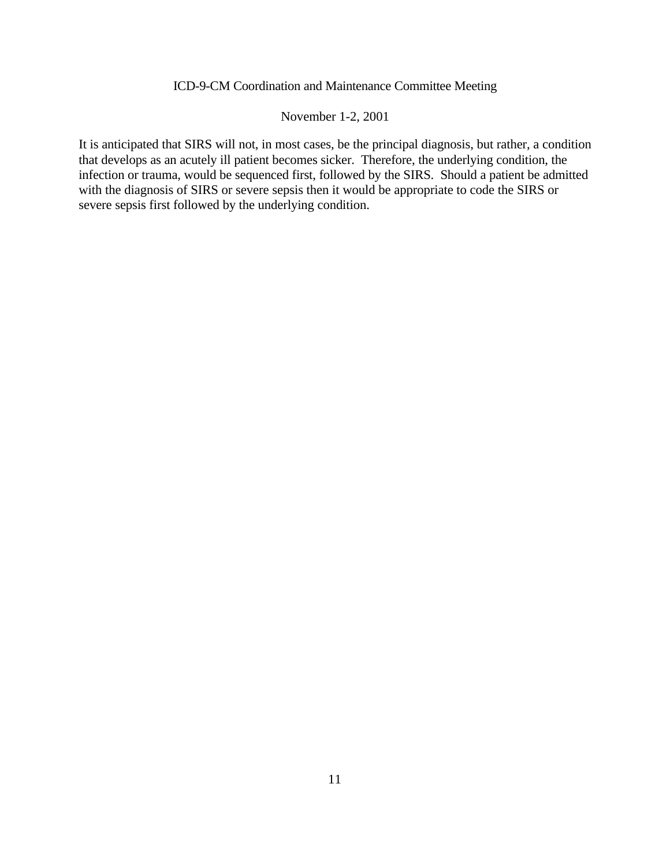#### November 1-2, 2001

It is anticipated that SIRS will not, in most cases, be the principal diagnosis, but rather, a condition that develops as an acutely ill patient becomes sicker. Therefore, the underlying condition, the infection or trauma, would be sequenced first, followed by the SIRS. Should a patient be admitted with the diagnosis of SIRS or severe sepsis then it would be appropriate to code the SIRS or severe sepsis first followed by the underlying condition.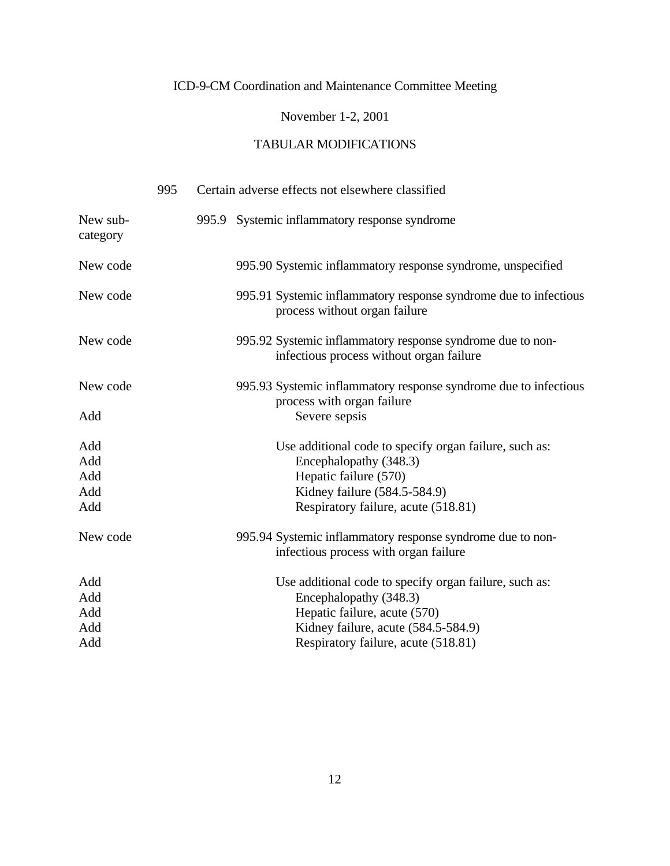### November 1-2, 2001

|                      | 995 | Certain adverse effects not elsewhere classified                                                       |
|----------------------|-----|--------------------------------------------------------------------------------------------------------|
| New sub-<br>category |     | 995.9 Systemic inflammatory response syndrome                                                          |
| New code             |     | 995.90 Systemic inflammatory response syndrome, unspecified                                            |
| New code             |     | 995.91 Systemic inflammatory response syndrome due to infectious<br>process without organ failure      |
| New code             |     | 995.92 Systemic inflammatory response syndrome due to non-<br>infectious process without organ failure |
| New code             |     | 995.93 Systemic inflammatory response syndrome due to infectious<br>process with organ failure         |
| Add                  |     | Severe sepsis                                                                                          |
| Add                  |     | Use additional code to specify organ failure, such as:                                                 |
| Add                  |     | Encephalopathy (348.3)                                                                                 |
| Add                  |     | Hepatic failure (570)                                                                                  |
| Add                  |     | Kidney failure (584.5-584.9)                                                                           |
| Add                  |     | Respiratory failure, acute (518.81)                                                                    |
| New code             |     | 995.94 Systemic inflammatory response syndrome due to non-<br>infectious process with organ failure    |
| Add                  |     | Use additional code to specify organ failure, such as:                                                 |
| Add                  |     | Encephalopathy (348.3)                                                                                 |
| Add                  |     | Hepatic failure, acute (570)                                                                           |
| Add                  |     | Kidney failure, acute (584.5-584.9)                                                                    |
| Add                  |     | Respiratory failure, acute (518.81)                                                                    |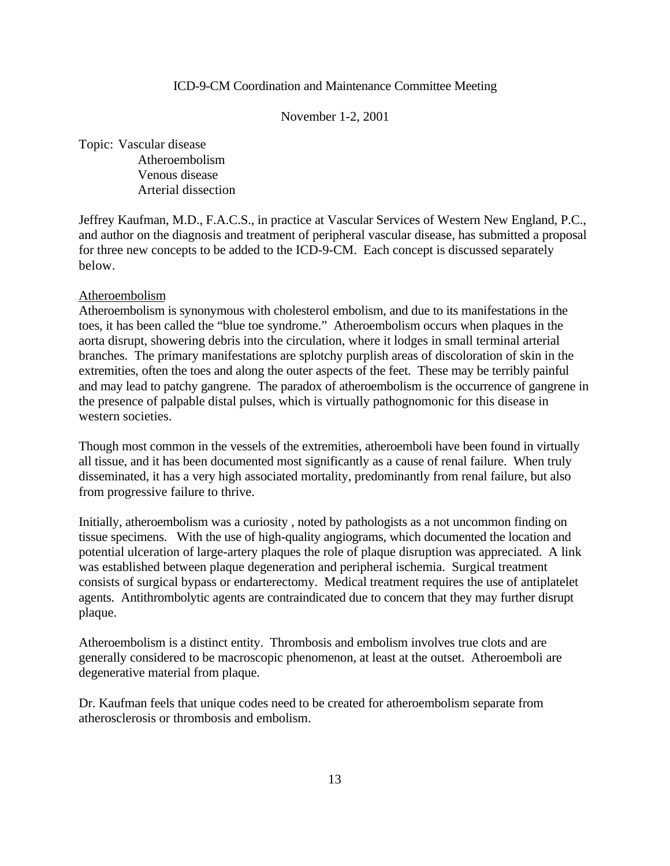November 1-2, 2001

Topic: Vascular disease Atheroembolism Venous disease Arterial dissection

Jeffrey Kaufman, M.D., F.A.C.S., in practice at Vascular Services of Western New England, P.C., and author on the diagnosis and treatment of peripheral vascular disease, has submitted a proposal for three new concepts to be added to the ICD-9-CM. Each concept is discussed separately below.

#### Atheroembolism

Atheroembolism is synonymous with cholesterol embolism, and due to its manifestations in the toes, it has been called the "blue toe syndrome." Atheroembolism occurs when plaques in the aorta disrupt, showering debris into the circulation, where it lodges in small terminal arterial branches. The primary manifestations are splotchy purplish areas of discoloration of skin in the extremities, often the toes and along the outer aspects of the feet. These may be terribly painful and may lead to patchy gangrene. The paradox of atheroembolism is the occurrence of gangrene in the presence of palpable distal pulses, which is virtually pathognomonic for this disease in western societies.

Though most common in the vessels of the extremities, atheroemboli have been found in virtually all tissue, and it has been documented most significantly as a cause of renal failure. When truly disseminated, it has a very high associated mortality, predominantly from renal failure, but also from progressive failure to thrive.

Initially, atheroembolism was a curiosity , noted by pathologists as a not uncommon finding on tissue specimens. With the use of high-quality angiograms, which documented the location and potential ulceration of large-artery plaques the role of plaque disruption was appreciated. A link was established between plaque degeneration and peripheral ischemia. Surgical treatment consists of surgical bypass or endarterectomy. Medical treatment requires the use of antiplatelet agents. Antithrombolytic agents are contraindicated due to concern that they may further disrupt plaque.

Atheroembolism is a distinct entity. Thrombosis and embolism involves true clots and are generally considered to be macroscopic phenomenon, at least at the outset. Atheroemboli are degenerative material from plaque.

Dr. Kaufman feels that unique codes need to be created for atheroembolism separate from atherosclerosis or thrombosis and embolism.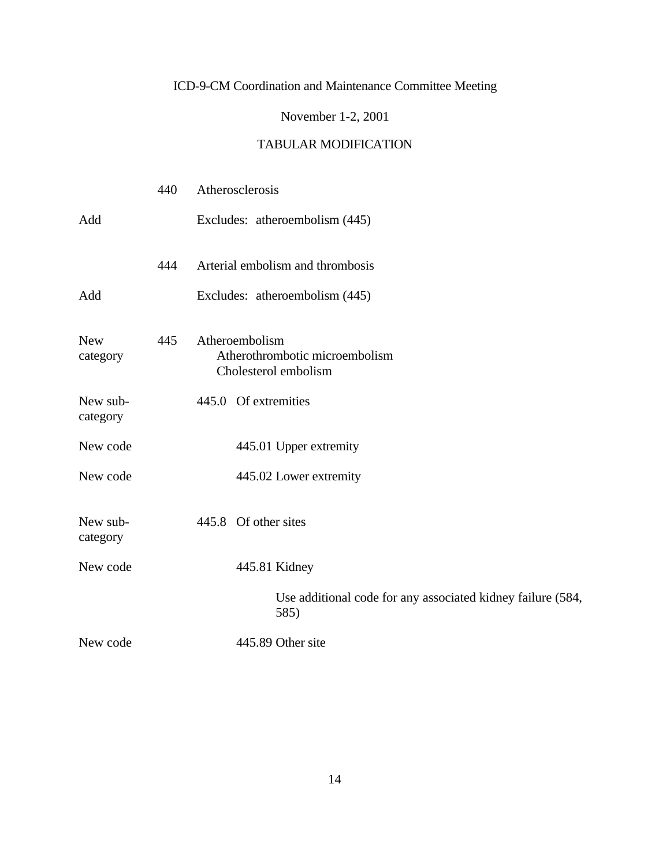### November 1-2, 2001

|                        | 440 | Atherosclerosis |                                                                     |
|------------------------|-----|-----------------|---------------------------------------------------------------------|
| Add                    |     |                 | Excludes: atheroembolism (445)                                      |
|                        | 444 |                 | Arterial embolism and thrombosis                                    |
| Add                    |     |                 | Excludes: atheroembolism (445)                                      |
| <b>New</b><br>category | 445 | Atheroembolism  | Atherothrombotic microembolism<br>Cholesterol embolism              |
| New sub-<br>category   |     |                 | 445.0 Of extremities                                                |
| New code               |     |                 | 445.01 Upper extremity                                              |
| New code               |     |                 | 445.02 Lower extremity                                              |
| New sub-<br>category   |     |                 | 445.8 Of other sites                                                |
| New code               |     |                 | 445.81 Kidney                                                       |
|                        |     |                 | Use additional code for any associated kidney failure (584,<br>585) |
| New code               |     |                 | 445.89 Other site                                                   |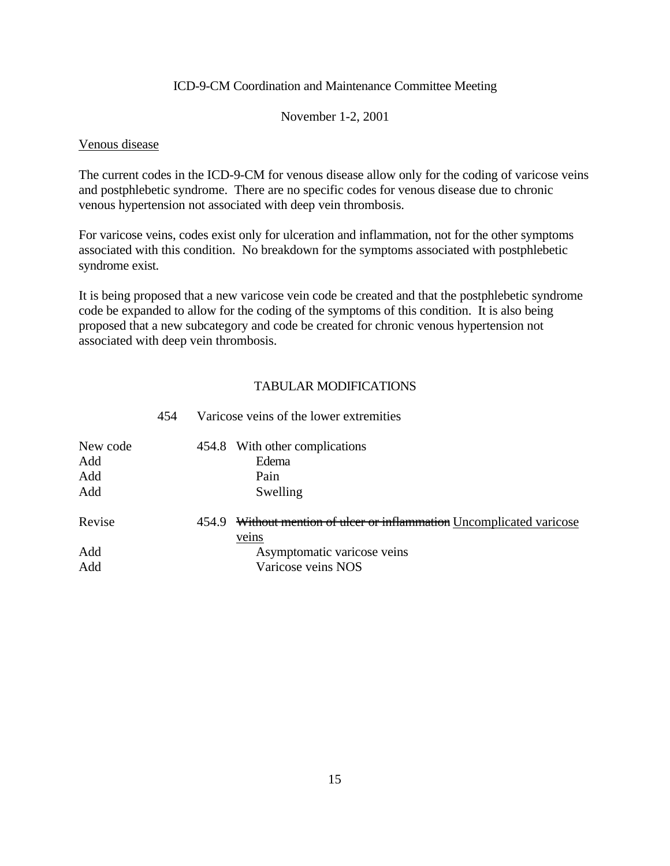#### November 1-2, 2001

#### Venous disease

The current codes in the ICD-9-CM for venous disease allow only for the coding of varicose veins and postphlebetic syndrome. There are no specific codes for venous disease due to chronic venous hypertension not associated with deep vein thrombosis.

For varicose veins, codes exist only for ulceration and inflammation, not for the other symptoms associated with this condition. No breakdown for the symptoms associated with postphlebetic syndrome exist.

It is being proposed that a new varicose vein code be created and that the postphlebetic syndrome code be expanded to allow for the coding of the symptoms of this condition. It is also being proposed that a new subcategory and code be created for chronic venous hypertension not associated with deep vein thrombosis.

#### TABULAR MODIFICATIONS

| New code<br>Add<br>Add<br>Add |       | 454.8 With other complications<br>Edema<br>Pain<br>Swelling     |
|-------------------------------|-------|-----------------------------------------------------------------|
| Revise                        | 454.9 | Without mention of ulcer or inflammation Uncomplicated varicose |
|                               |       | veins                                                           |
| Add                           |       | Asymptomatic varicose veins                                     |
| Add                           |       | Varicose veins NOS                                              |

# 454 Varicose veins of the lower extremities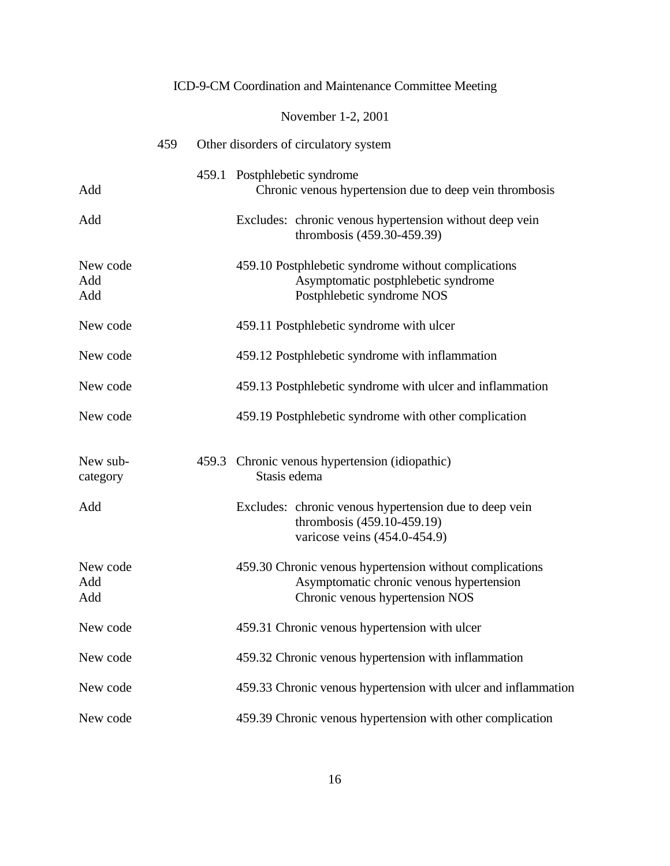|                        |     | ICD-9-CM Coordination and Maintenance Committee Meeting                                                                                 |
|------------------------|-----|-----------------------------------------------------------------------------------------------------------------------------------------|
|                        |     | November 1-2, 2001                                                                                                                      |
|                        | 459 | Other disorders of circulatory system                                                                                                   |
| Add                    |     | 459.1 Postphlebetic syndrome<br>Chronic venous hypertension due to deep vein thrombosis                                                 |
| Add                    |     | Excludes: chronic venous hypertension without deep vein<br>thrombosis (459.30-459.39)                                                   |
| New code<br>Add<br>Add |     | 459.10 Postphlebetic syndrome without complications<br>Asymptomatic postphlebetic syndrome<br>Postphlebetic syndrome NOS                |
| New code               |     | 459.11 Postphlebetic syndrome with ulcer                                                                                                |
| New code               |     | 459.12 Postphlebetic syndrome with inflammation                                                                                         |
| New code               |     | 459.13 Postphlebetic syndrome with ulcer and inflammation                                                                               |
| New code               |     | 459.19 Postphlebetic syndrome with other complication                                                                                   |
| New sub-<br>category   |     | 459.3 Chronic venous hypertension (idiopathic)<br>Stasis edema                                                                          |
| Add                    |     | Excludes: chronic venous hypertension due to deep vein<br>thrombosis (459.10-459.19)<br>varicose veins (454.0-454.9)                    |
| New code<br>Add<br>Add |     | 459.30 Chronic venous hypertension without complications<br>Asymptomatic chronic venous hypertension<br>Chronic venous hypertension NOS |
| New code               |     | 459.31 Chronic venous hypertension with ulcer                                                                                           |
| New code               |     | 459.32 Chronic venous hypertension with inflammation                                                                                    |
| New code               |     | 459.33 Chronic venous hypertension with ulcer and inflammation                                                                          |
| New code               |     | 459.39 Chronic venous hypertension with other complication                                                                              |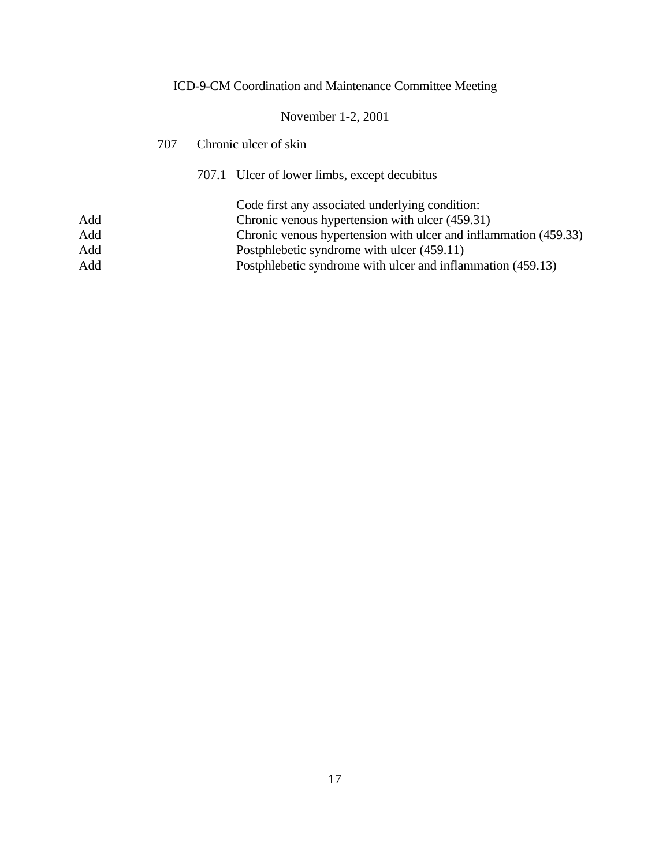# November 1-2, 2001

| 707 |  | Chronic ulcer of skin                                            |  |
|-----|--|------------------------------------------------------------------|--|
|     |  | 707.1 Ulcer of lower limbs, except decubitus                     |  |
|     |  | Code first any associated underlying condition:                  |  |
| Add |  | Chronic venous hypertension with ulcer (459.31)                  |  |
| Add |  | Chronic venous hypertension with ulcer and inflammation (459.33) |  |
| Add |  | Postphlebetic syndrome with ulcer (459.11)                       |  |
| Add |  | Postphlebetic syndrome with ulcer and inflammation (459.13)      |  |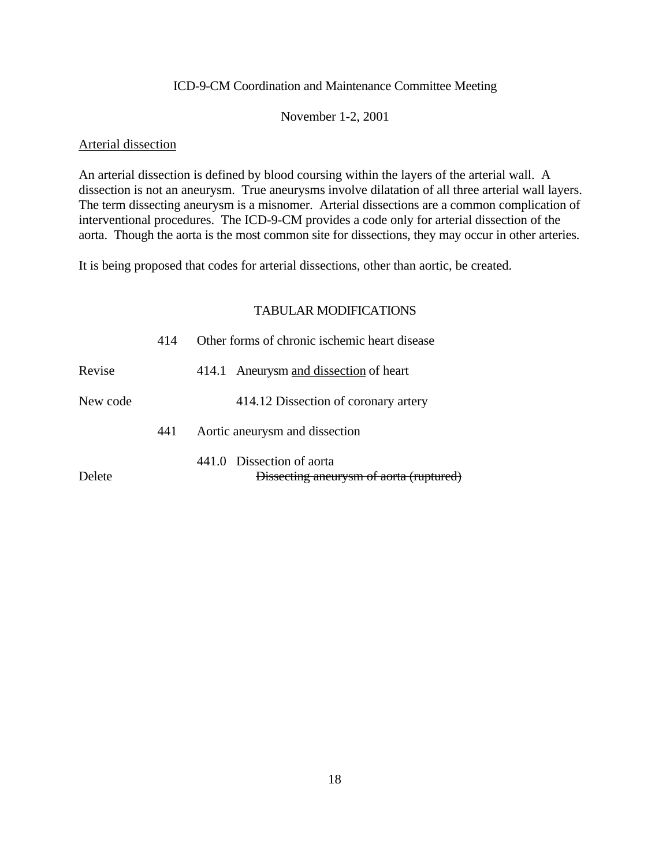#### November 1-2, 2001

#### Arterial dissection

An arterial dissection is defined by blood coursing within the layers of the arterial wall. A dissection is not an aneurysm. True aneurysms involve dilatation of all three arterial wall layers. The term dissecting aneurysm is a misnomer. Arterial dissections are a common complication of interventional procedures. The ICD-9-CM provides a code only for arterial dissection of the aorta. Though the aorta is the most common site for dissections, they may occur in other arteries.

It is being proposed that codes for arterial dissections, other than aortic, be created.

|          | 414 | Other forms of chronic ischemic heart disease                        |
|----------|-----|----------------------------------------------------------------------|
| Revise   |     | Aneurysm and dissection of heart<br>414.1                            |
| New code |     | 414.12 Dissection of coronary artery                                 |
|          | 441 | Aortic aneurysm and dissection                                       |
| Delete   |     | 441.0 Dissection of aorta<br>Dissecting aneurysm of aorta (ruptured) |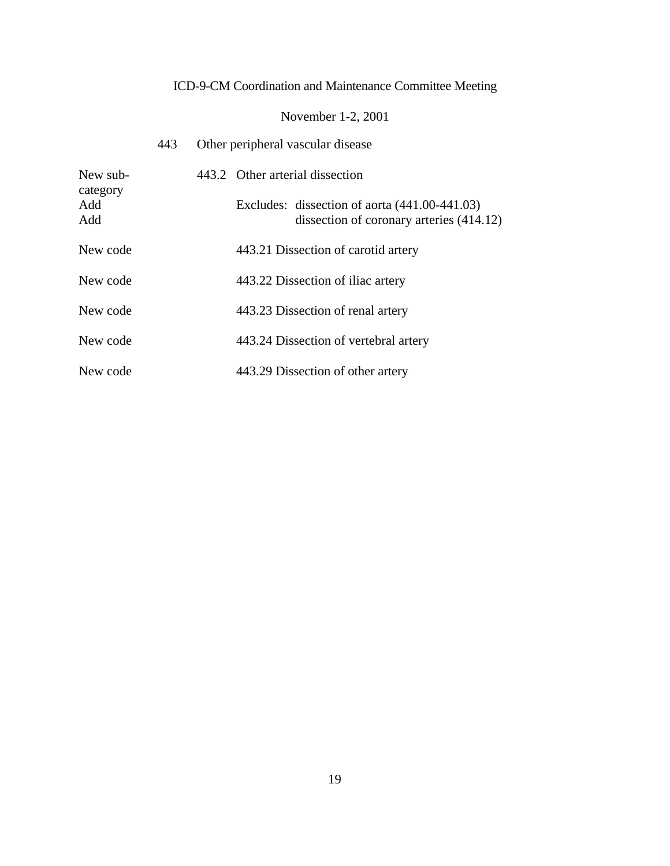# November 1-2, 2001

|                        | 443 |  | Other peripheral vascular disease                                                           |
|------------------------|-----|--|---------------------------------------------------------------------------------------------|
| New sub-               |     |  | 443.2 Other arterial dissection                                                             |
| category<br>Add<br>Add |     |  | Excludes: dissection of aorta $(441.00-441.03)$<br>dissection of coronary arteries (414.12) |
| New code               |     |  | 443.21 Dissection of carotid artery                                                         |
| New code               |     |  | 443.22 Dissection of iliac artery                                                           |
| New code               |     |  | 443.23 Dissection of renal artery                                                           |
| New code               |     |  | 443.24 Dissection of vertebral artery                                                       |
| New code               |     |  | 443.29 Dissection of other artery                                                           |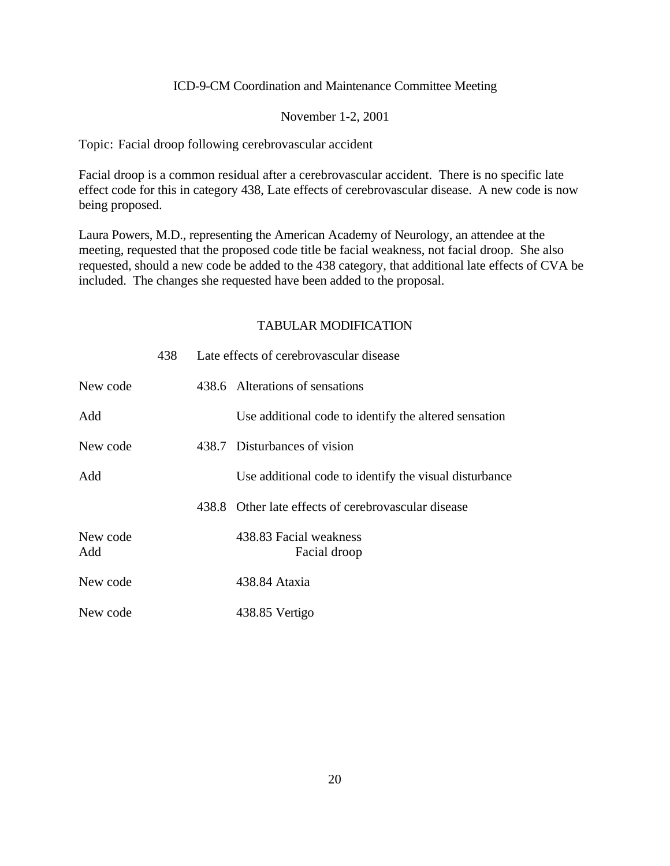#### November 1-2, 2001

Topic: Facial droop following cerebrovascular accident

Facial droop is a common residual after a cerebrovascular accident. There is no specific late effect code for this in category 438, Late effects of cerebrovascular disease. A new code is now being proposed.

Laura Powers, M.D., representing the American Academy of Neurology, an attendee at the meeting, requested that the proposed code title be facial weakness, not facial droop. She also requested, should a new code be added to the 438 category, that additional late effects of CVA be included. The changes she requested have been added to the proposal.

|                 | 438. | Late effects of cerebrovascular disease                |
|-----------------|------|--------------------------------------------------------|
| New code        |      | 438.6 Alterations of sensations                        |
| Add             |      | Use additional code to identify the altered sensation  |
| New code        |      | 438.7 Disturbances of vision                           |
| Add             |      | Use additional code to identify the visual disturbance |
|                 |      | 438.8 Other late effects of cerebrovascular disease    |
| New code<br>Add |      | 438.83 Facial weakness<br>Facial droop                 |
| New code        |      | 438.84 Ataxia                                          |
| New code        |      | 438.85 Vertigo                                         |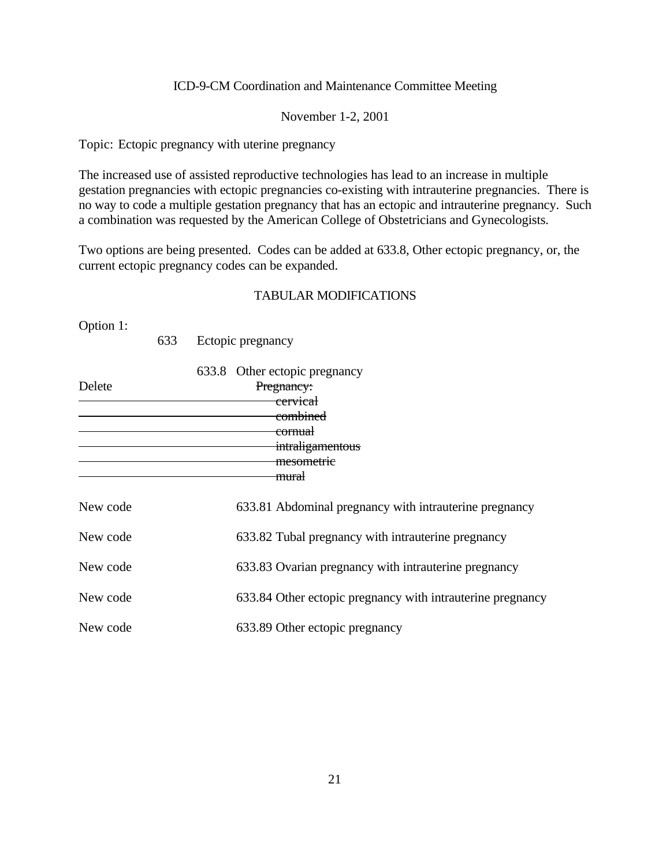November 1-2, 2001

Topic: Ectopic pregnancy with uterine pregnancy

The increased use of assisted reproductive technologies has lead to an increase in multiple gestation pregnancies with ectopic pregnancies co-existing with intrauterine pregnancies. There is no way to code a multiple gestation pregnancy that has an ectopic and intrauterine pregnancy. Such a combination was requested by the American College of Obstetricians and Gynecologists.

Two options are being presented. Codes can be added at 633.8, Other ectopic pregnancy, or, the current ectopic pregnancy codes can be expanded.

#### TABULAR MODIFICATIONS

Option 1:

633 Ectopic pregnancy

| Delete   | 633.8 Other ectopic pregnancy<br>Pregnancy:<br><del>cervical</del><br><del>combined</del><br><del>cornual</del><br>intraligamentous<br>mesometrie |
|----------|---------------------------------------------------------------------------------------------------------------------------------------------------|
| New code | <del>mural</del><br>633.81 Abdominal pregnancy with intrauterine pregnancy                                                                        |
| New code | 633.82 Tubal pregnancy with intrauterine pregnancy                                                                                                |
| New code | 633.83 Ovarian pregnancy with intrauterine pregnancy                                                                                              |
| New code | 633.84 Other ectopic pregnancy with intrauterine pregnancy                                                                                        |
| New code | 633.89 Other ectopic pregnancy                                                                                                                    |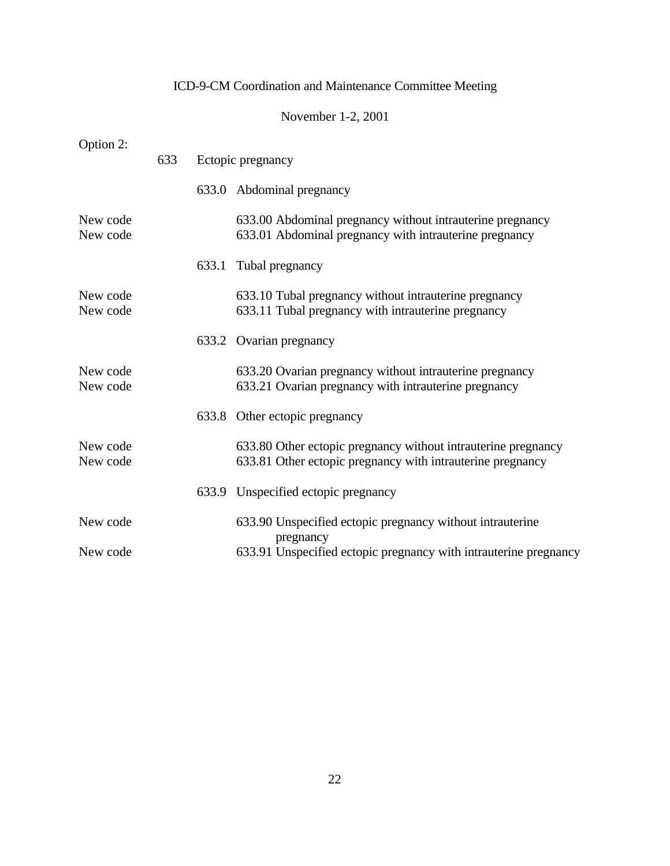|                      |     |                   | November 1-2, 2001                                                                                                          |  |  |  |
|----------------------|-----|-------------------|-----------------------------------------------------------------------------------------------------------------------------|--|--|--|
| Option 2:            | 633 | Ectopic pregnancy |                                                                                                                             |  |  |  |
|                      |     |                   | 633.0 Abdominal pregnancy                                                                                                   |  |  |  |
| New code<br>New code |     |                   | 633.00 Abdominal pregnancy without intrauterine pregnancy<br>633.01 Abdominal pregnancy with intrauterine pregnancy         |  |  |  |
|                      |     | 633.1             | Tubal pregnancy                                                                                                             |  |  |  |
| New code<br>New code |     |                   | 633.10 Tubal pregnancy without intrauterine pregnancy<br>633.11 Tubal pregnancy with intrauterine pregnancy                 |  |  |  |
|                      |     |                   | 633.2 Ovarian pregnancy                                                                                                     |  |  |  |
| New code<br>New code |     |                   | 633.20 Ovarian pregnancy without intrauterine pregnancy<br>633.21 Ovarian pregnancy with intrauterine pregnancy             |  |  |  |
|                      |     |                   | 633.8 Other ectopic pregnancy                                                                                               |  |  |  |
| New code<br>New code |     |                   | 633.80 Other ectopic pregnancy without intrauterine pregnancy<br>633.81 Other ectopic pregnancy with intrauterine pregnancy |  |  |  |
|                      |     |                   | 633.9 Unspecified ectopic pregnancy                                                                                         |  |  |  |
| New code             |     |                   | 633.90 Unspecified ectopic pregnancy without intrauterine<br>pregnancy                                                      |  |  |  |
| New code             |     |                   | 633.91 Unspecified ectopic pregnancy with intrauterine pregnancy                                                            |  |  |  |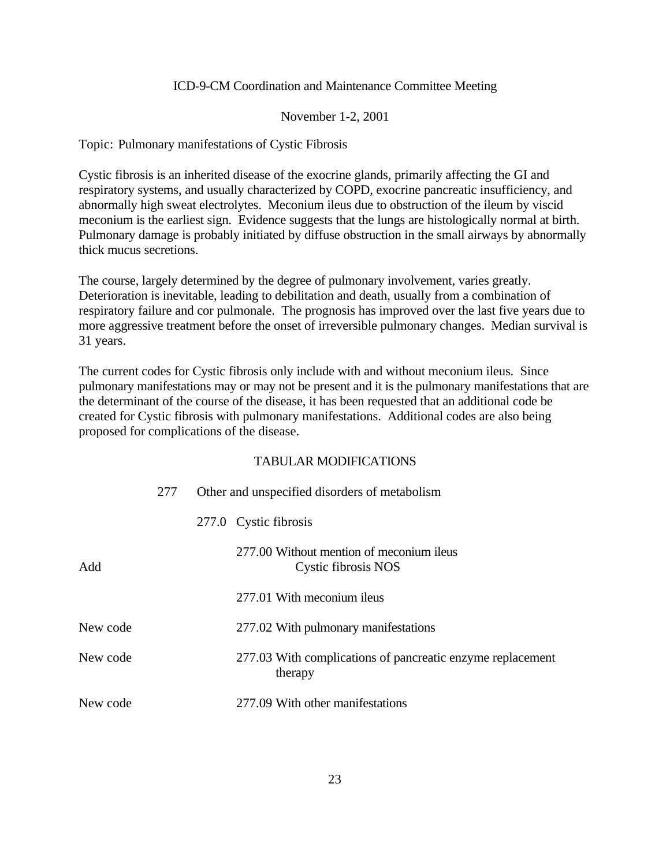#### November 1-2, 2001

Topic: Pulmonary manifestations of Cystic Fibrosis

Cystic fibrosis is an inherited disease of the exocrine glands, primarily affecting the GI and respiratory systems, and usually characterized by COPD, exocrine pancreatic insufficiency, and abnormally high sweat electrolytes. Meconium ileus due to obstruction of the ileum by viscid meconium is the earliest sign. Evidence suggests that the lungs are histologically normal at birth. Pulmonary damage is probably initiated by diffuse obstruction in the small airways by abnormally thick mucus secretions.

The course, largely determined by the degree of pulmonary involvement, varies greatly. Deterioration is inevitable, leading to debilitation and death, usually from a combination of respiratory failure and cor pulmonale. The prognosis has improved over the last five years due to more aggressive treatment before the onset of irreversible pulmonary changes. Median survival is 31 years.

The current codes for Cystic fibrosis only include with and without meconium ileus. Since pulmonary manifestations may or may not be present and it is the pulmonary manifestations that are the determinant of the course of the disease, it has been requested that an additional code be created for Cystic fibrosis with pulmonary manifestations. Additional codes are also being proposed for complications of the disease.

|          | 277 | Other and unspecified disorders of metabolism                         |  |  |
|----------|-----|-----------------------------------------------------------------------|--|--|
|          |     | 277.0 Cystic fibrosis                                                 |  |  |
| Add      |     | 277.00 Without mention of meconium ileus<br>Cystic fibrosis NOS       |  |  |
|          |     | 277.01 With meconium ileus                                            |  |  |
| New code |     | 277.02 With pulmonary manifestations                                  |  |  |
| New code |     | 277.03 With complications of pancreatic enzyme replacement<br>therapy |  |  |
| New code |     | 277.09 With other manifestations                                      |  |  |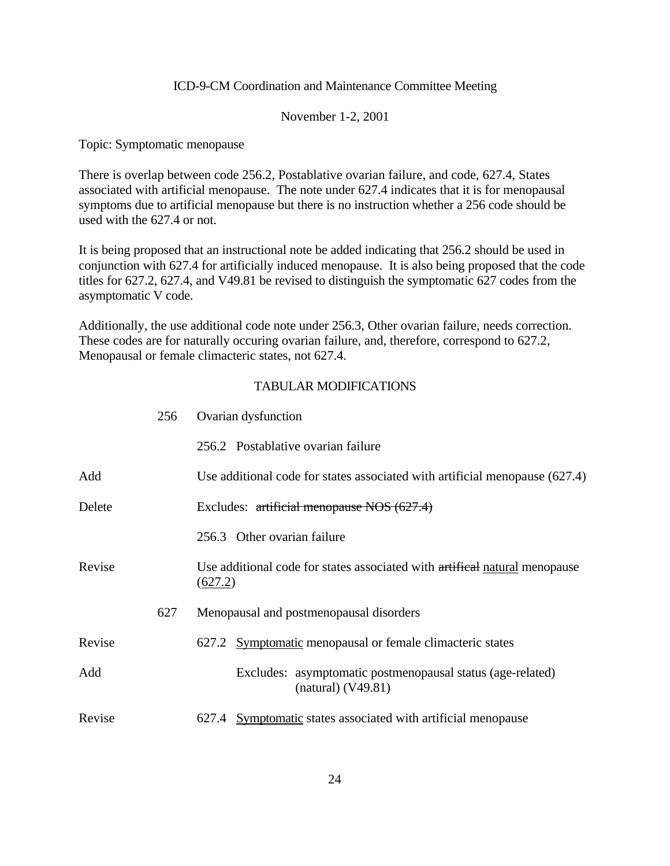#### November 1-2, 2001

Topic: Symptomatic menopause

There is overlap between code 256.2, Postablative ovarian failure, and code, 627.4, States associated with artificial menopause. The note under 627.4 indicates that it is for menopausal symptoms due to artificial menopause but there is no instruction whether a 256 code should be used with the 627.4 or not.

It is being proposed that an instructional note be added indicating that 256.2 should be used in conjunction with 627.4 for artificially induced menopause. It is also being proposed that the code titles for 627.2, 627.4, and V49.81 be revised to distinguish the symptomatic 627 codes from the asymptomatic V code.

Additionally, the use additional code note under 256.3, Other ovarian failure, needs correction. These codes are for naturally occuring ovarian failure, and, therefore, correspond to 627.2, Menopausal or female climacteric states, not 627.4.

|        | 256 | Ovarian dysfunction                                                                   |  |  |
|--------|-----|---------------------------------------------------------------------------------------|--|--|
|        |     | 256.2 Postablative ovarian failure                                                    |  |  |
| Add    |     | Use additional code for states associated with artificial menopause (627.4)           |  |  |
| Delete |     | Excludes: $\frac{artificial \text{ menopause NOS (627.4)}}{2}$                        |  |  |
|        |     | 256.3 Other ovarian failure                                                           |  |  |
| Revise |     | Use additional code for states associated with artifical natural menopause<br>(627.2) |  |  |
|        | 627 | Menopausal and postmenopausal disorders                                               |  |  |
| Revise |     | 627.2 Symptomatic menopausal or female climacteric states                             |  |  |
| Add    |     | Excludes: asymptomatic postmenopausal status (age-related)<br>$(natural)$ (V49.81)    |  |  |
| Revise |     | 627.4 Symptomatic states associated with artificial menopause                         |  |  |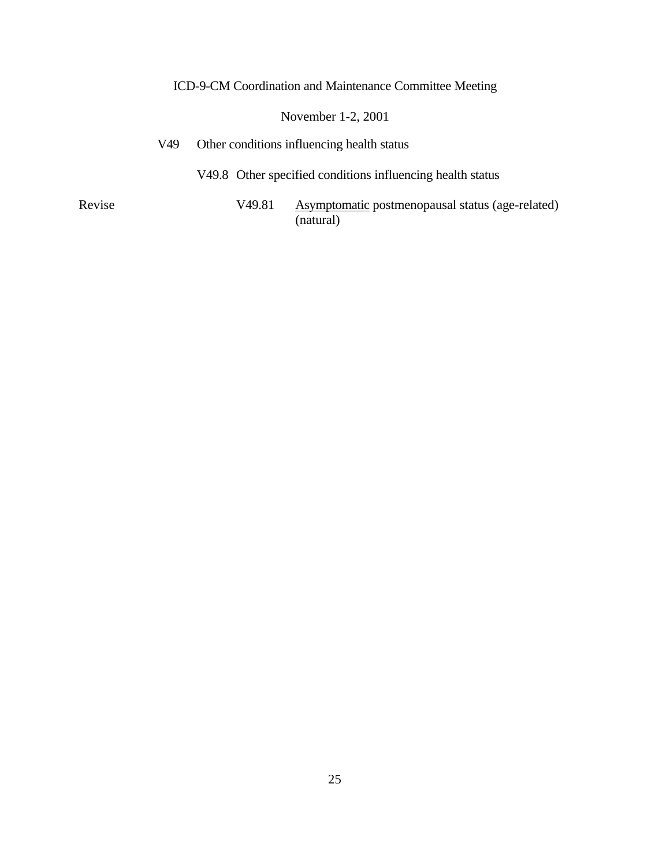### November 1-2, 2001

V49 Other conditions influencing health status

V49.8 Other specified conditions influencing health status

Revise V49.81 Asymptomatic postmenopausal status (age-related) (natural)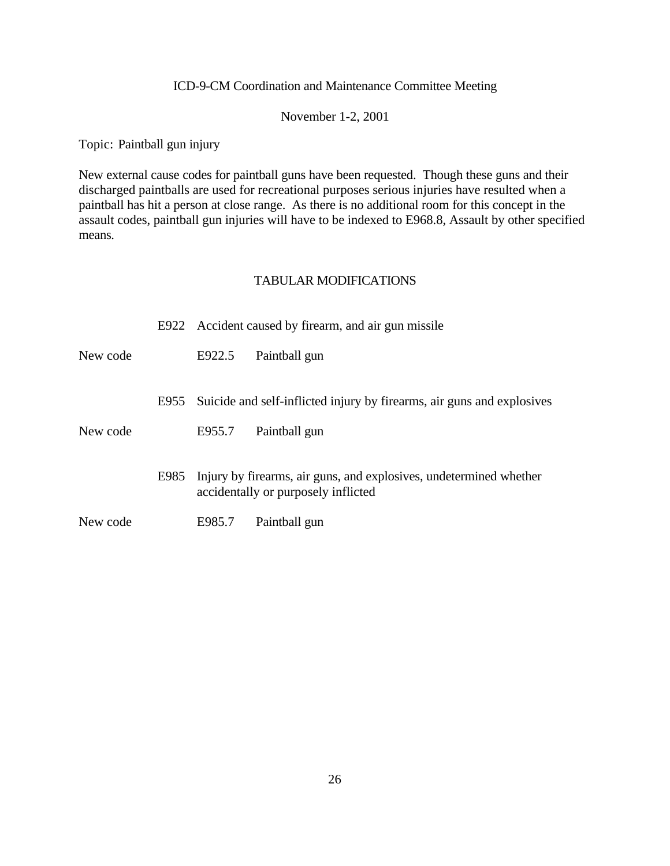#### November 1-2, 2001

Topic: Paintball gun injury

New external cause codes for paintball guns have been requested. Though these guns and their discharged paintballs are used for recreational purposes serious injuries have resulted when a paintball has hit a person at close range. As there is no additional room for this concept in the assault codes, paintball gun injuries will have to be indexed to E968.8, Assault by other specified means.

|          |      |        | E922 Accident caused by firearm, and air gun missile                                                      |
|----------|------|--------|-----------------------------------------------------------------------------------------------------------|
| New code |      | E922.5 | Paintball gun                                                                                             |
|          | E955 |        | Suicide and self-inflicted injury by firearms, air guns and explosives                                    |
| New code |      | E955.7 | Paintball gun                                                                                             |
|          | E985 |        | Injury by firearms, air guns, and explosives, undetermined whether<br>accidentally or purposely inflicted |
| New code |      | E985.7 | Paintball gun                                                                                             |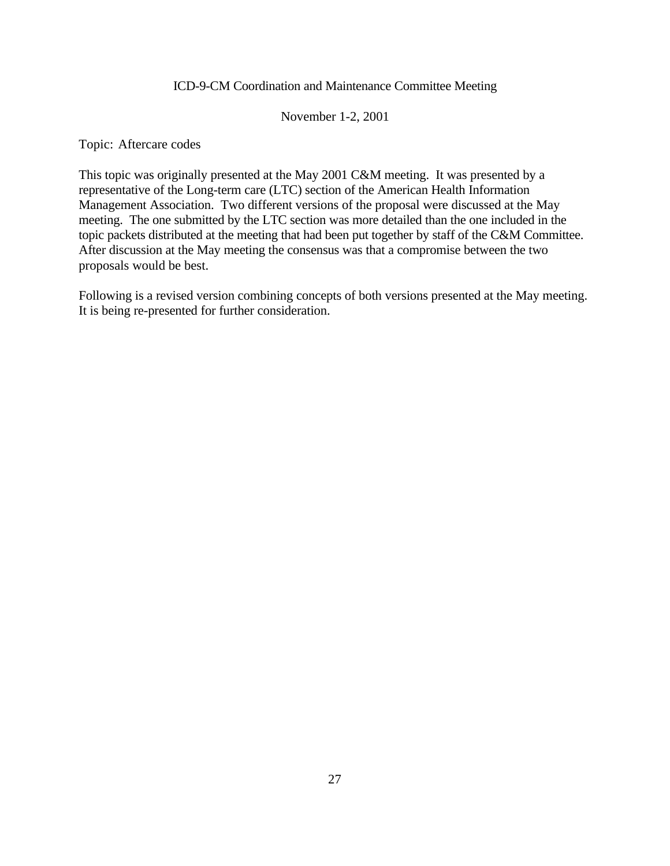#### November 1-2, 2001

Topic: Aftercare codes

This topic was originally presented at the May 2001 C&M meeting. It was presented by a representative of the Long-term care (LTC) section of the American Health Information Management Association. Two different versions of the proposal were discussed at the May meeting. The one submitted by the LTC section was more detailed than the one included in the topic packets distributed at the meeting that had been put together by staff of the C&M Committee. After discussion at the May meeting the consensus was that a compromise between the two proposals would be best.

Following is a revised version combining concepts of both versions presented at the May meeting. It is being re-presented for further consideration.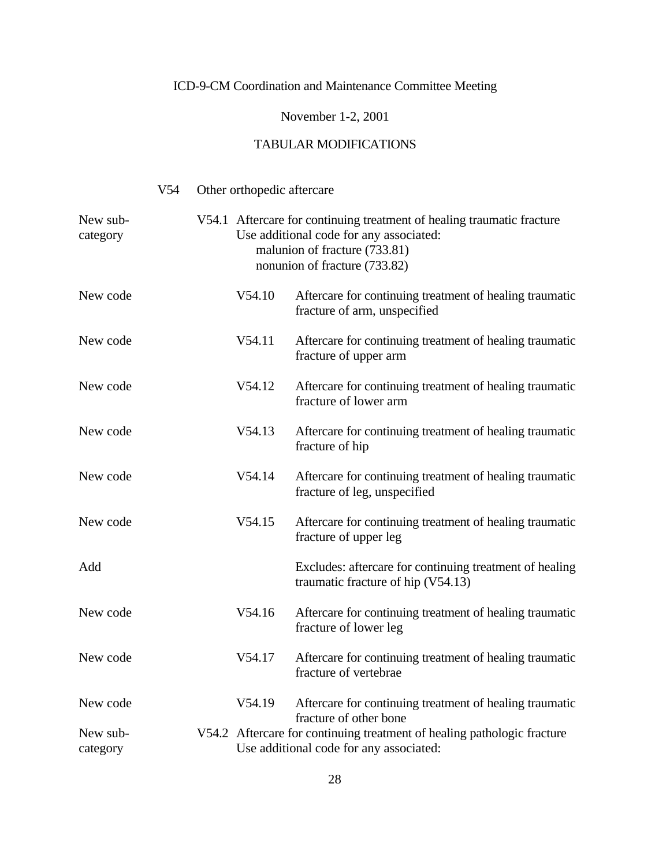### November 1-2, 2001

|                      | V <sub>54</sub> | Other orthopedic aftercare |                                                                                                                                                                                     |
|----------------------|-----------------|----------------------------|-------------------------------------------------------------------------------------------------------------------------------------------------------------------------------------|
| New sub-<br>category |                 |                            | V54.1 Aftercare for continuing treatment of healing traumatic fracture<br>Use additional code for any associated:<br>malunion of fracture (733.81)<br>nonunion of fracture (733.82) |
| New code             |                 | V54.10                     | Aftercare for continuing treatment of healing traumatic<br>fracture of arm, unspecified                                                                                             |
| New code             |                 | V54.11                     | Aftercare for continuing treatment of healing traumatic<br>fracture of upper arm                                                                                                    |
| New code             |                 | V54.12                     | Aftercare for continuing treatment of healing traumatic<br>fracture of lower arm                                                                                                    |
| New code             |                 | V54.13                     | Aftercare for continuing treatment of healing traumatic<br>fracture of hip                                                                                                          |
| New code             |                 | V54.14                     | Aftercare for continuing treatment of healing traumatic<br>fracture of leg, unspecified                                                                                             |
| New code             |                 | V54.15                     | Aftercare for continuing treatment of healing traumatic<br>fracture of upper leg                                                                                                    |
| Add                  |                 |                            | Excludes: aftercare for continuing treatment of healing<br>traumatic fracture of hip (V54.13)                                                                                       |
| New code             |                 | V54.16                     | Aftercare for continuing treatment of healing traumatic<br>fracture of lower leg                                                                                                    |
| New code             |                 | V54.17                     | Aftercare for continuing treatment of healing traumatic<br>fracture of vertebrae                                                                                                    |
| New code             |                 | V54.19                     | Aftercare for continuing treatment of healing traumatic<br>fracture of other bone                                                                                                   |
| New sub-<br>category |                 |                            | V54.2 Aftercare for continuing treatment of healing pathologic fracture<br>Use additional code for any associated:                                                                  |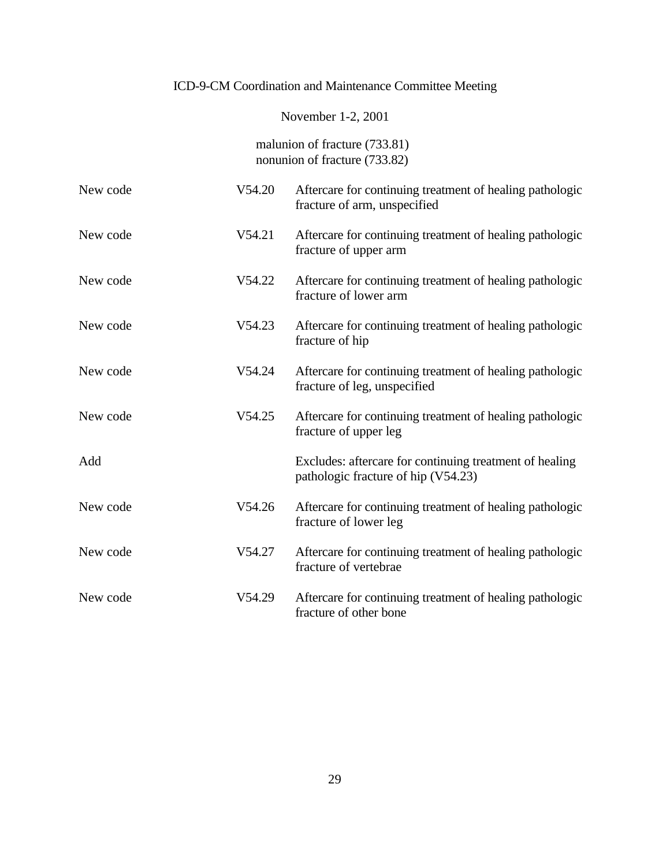### November 1-2, 2001

malunion of fracture (733.81) nonunion of fracture (733.82)

| New code | V54.20 | Aftercare for continuing treatment of healing pathologic<br>fracture of arm, unspecified       |
|----------|--------|------------------------------------------------------------------------------------------------|
| New code | V54.21 | Aftercare for continuing treatment of healing pathologic<br>fracture of upper arm              |
| New code | V54.22 | Aftercare for continuing treatment of healing pathologic<br>fracture of lower arm              |
| New code | V54.23 | Aftercare for continuing treatment of healing pathologic<br>fracture of hip                    |
| New code | V54.24 | Aftercare for continuing treatment of healing pathologic<br>fracture of leg, unspecified       |
| New code | V54.25 | Aftercare for continuing treatment of healing pathologic<br>fracture of upper leg              |
| Add      |        | Excludes: aftercare for continuing treatment of healing<br>pathologic fracture of hip (V54.23) |
| New code | V54.26 | Aftercare for continuing treatment of healing pathologic<br>fracture of lower leg              |
| New code | V54.27 | Aftercare for continuing treatment of healing pathologic<br>fracture of vertebrae              |
| New code | V54.29 | Aftercare for continuing treatment of healing pathologic<br>fracture of other bone             |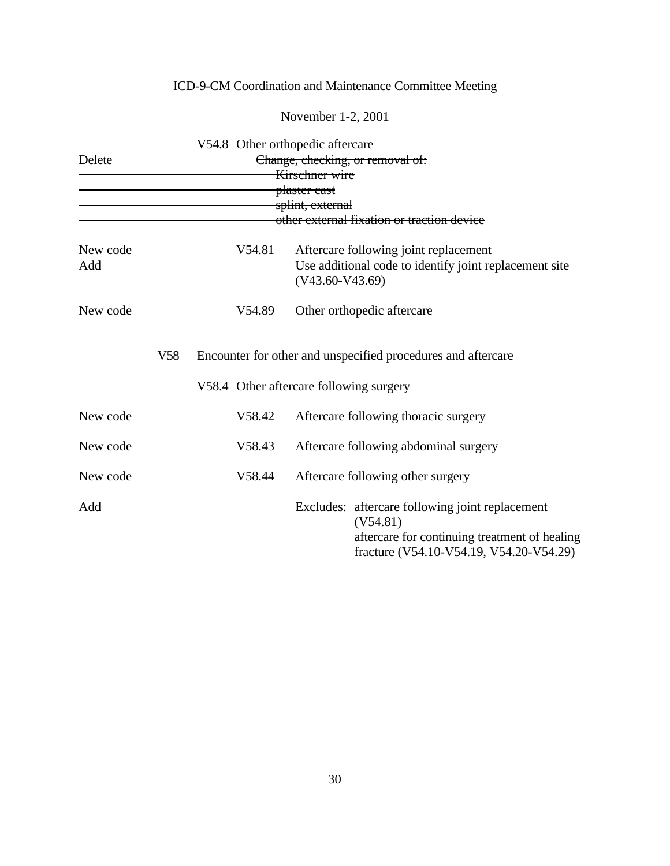|                 |                                  | V54.8 Other orthopedic aftercare |                                                                                                                                                         |  |  |  |
|-----------------|----------------------------------|----------------------------------|---------------------------------------------------------------------------------------------------------------------------------------------------------|--|--|--|
| Delete          | Change, checking, or removal of: |                                  |                                                                                                                                                         |  |  |  |
|                 |                                  |                                  | Kirschner wire                                                                                                                                          |  |  |  |
|                 |                                  |                                  | <del>plaster cast</del>                                                                                                                                 |  |  |  |
|                 |                                  |                                  | splint, external                                                                                                                                        |  |  |  |
|                 |                                  |                                  | other external fixation or traction device                                                                                                              |  |  |  |
| New code<br>Add |                                  | V54.81                           | Aftercare following joint replacement<br>Use additional code to identify joint replacement site<br>$(V43.60-V43.69)$                                    |  |  |  |
| New code        |                                  | V54.89                           | Other orthopedic aftercare                                                                                                                              |  |  |  |
|                 | V <sub>58</sub>                  |                                  | Encounter for other and unspecified procedures and aftercare                                                                                            |  |  |  |
|                 |                                  |                                  | V58.4 Other aftercare following surgery                                                                                                                 |  |  |  |
| New code        |                                  | V58.42                           | Aftercare following thoracic surgery                                                                                                                    |  |  |  |
| New code        |                                  | V58.43                           | Aftercare following abdominal surgery                                                                                                                   |  |  |  |
| New code        |                                  | V58.44                           | Aftercare following other surgery                                                                                                                       |  |  |  |
| Add             |                                  |                                  | Excludes: aftercare following joint replacement<br>(V54.81)<br>aftercare for continuing treatment of healing<br>fracture (V54.10-V54.19, V54.20-V54.29) |  |  |  |

November 1-2, 2001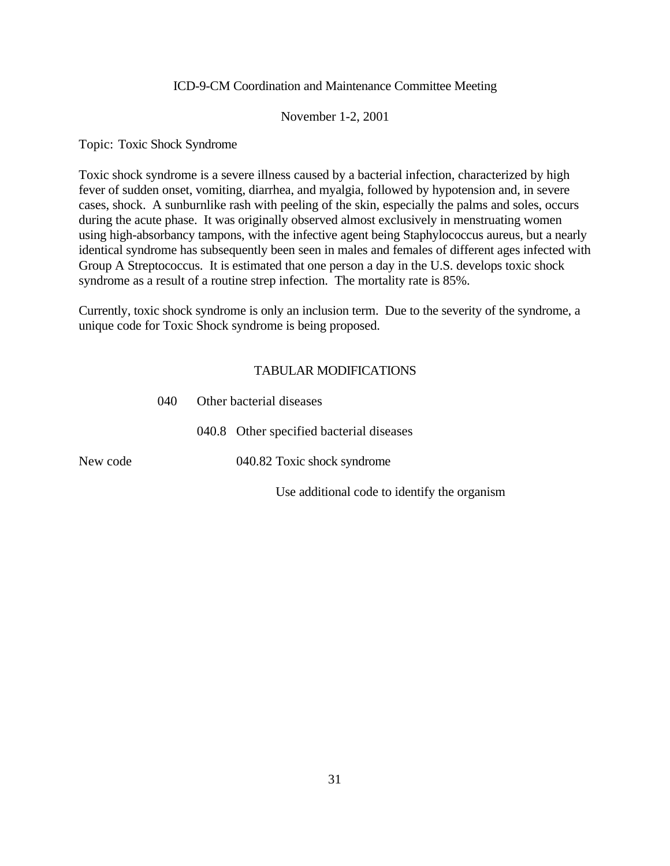#### November 1-2, 2001

Topic: Toxic Shock Syndrome

Toxic shock syndrome is a severe illness caused by a bacterial infection, characterized by high fever of sudden onset, vomiting, diarrhea, and myalgia, followed by hypotension and, in severe cases, shock. A sunburnlike rash with peeling of the skin, especially the palms and soles, occurs during the acute phase. It was originally observed almost exclusively in menstruating women using high-absorbancy tampons, with the infective agent being Staphylococcus aureus, but a nearly identical syndrome has subsequently been seen in males and females of different ages infected with Group A Streptococcus. It is estimated that one person a day in the U.S. develops toxic shock syndrome as a result of a routine strep infection. The mortality rate is 85%.

Currently, toxic shock syndrome is only an inclusion term. Due to the severity of the syndrome, a unique code for Toxic Shock syndrome is being proposed.

#### TABULAR MODIFICATIONS

|          | (140) | Other bacterial diseases                     |  |
|----------|-------|----------------------------------------------|--|
|          |       | 040.8 Other specified bacterial diseases     |  |
| New code |       | 040.82 Toxic shock syndrome                  |  |
|          |       | Use additional code to identify the organism |  |

040 Other bacterial diseases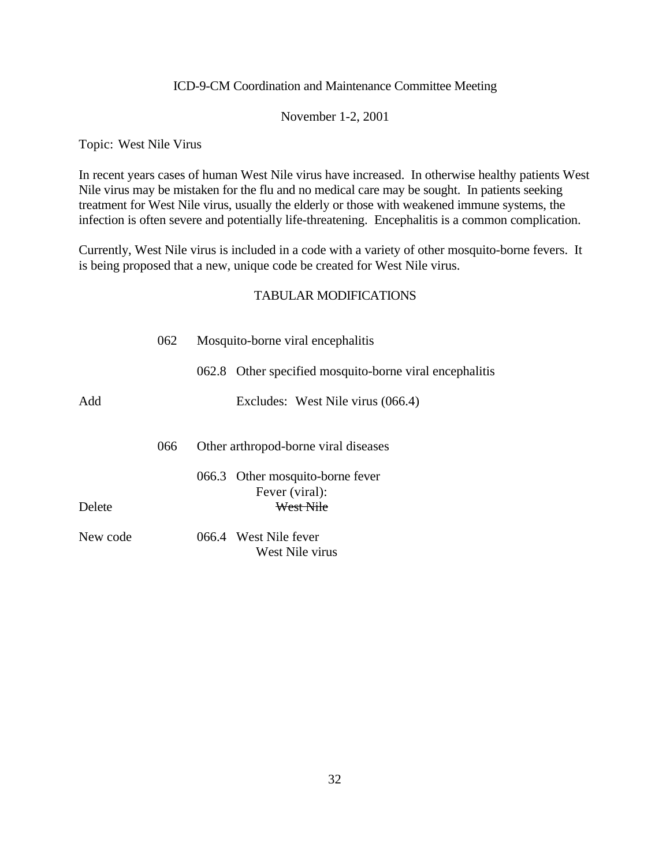#### November 1-2, 2001

Topic: West Nile Virus

In recent years cases of human West Nile virus have increased. In otherwise healthy patients West Nile virus may be mistaken for the flu and no medical care may be sought. In patients seeking treatment for West Nile virus, usually the elderly or those with weakened immune systems, the infection is often severe and potentially life-threatening. Encephalitis is a common complication.

Currently, West Nile virus is included in a code with a variety of other mosquito-borne fevers. It is being proposed that a new, unique code be created for West Nile virus.

|          | 062 | Mosquito-borne viral encephalitis                       |
|----------|-----|---------------------------------------------------------|
|          |     | 062.8 Other specified mosquito-borne viral encephalitis |
| Add      |     | Excludes: West Nile virus (066.4)                       |
|          |     |                                                         |
|          | 066 | Other arthropod-borne viral diseases                    |
|          |     | 066.3 Other mosquito-borne fever                        |
|          |     | Fever (viral):                                          |
| Delete   |     | West Nile                                               |
| New code |     | 066.4 West Nile fever                                   |
|          |     | West Nile virus                                         |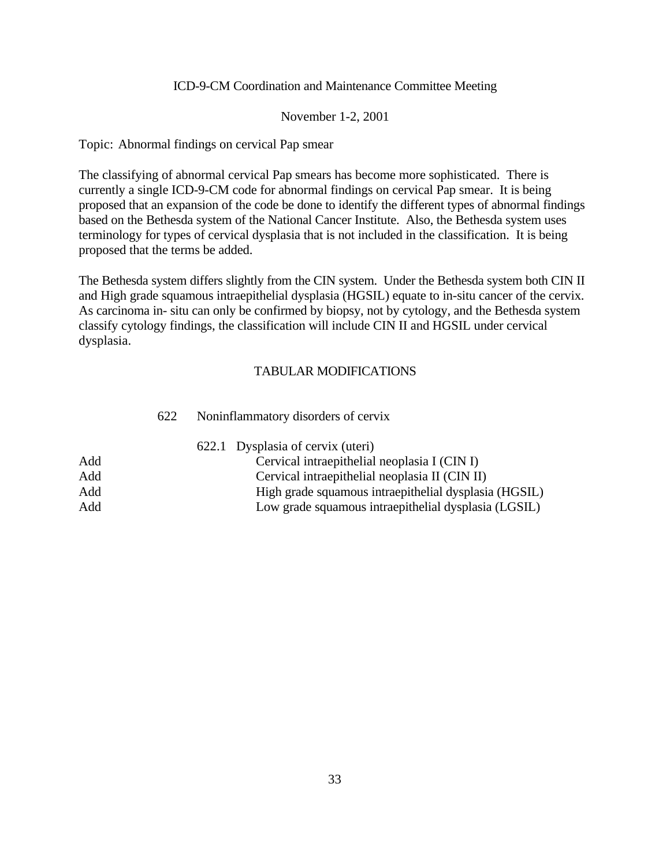#### November 1-2, 2001

Topic: Abnormal findings on cervical Pap smear

The classifying of abnormal cervical Pap smears has become more sophisticated. There is currently a single ICD-9-CM code for abnormal findings on cervical Pap smear. It is being proposed that an expansion of the code be done to identify the different types of abnormal findings based on the Bethesda system of the National Cancer Institute. Also, the Bethesda system uses terminology for types of cervical dysplasia that is not included in the classification. It is being proposed that the terms be added.

The Bethesda system differs slightly from the CIN system. Under the Bethesda system both CIN II and High grade squamous intraepithelial dysplasia (HGSIL) equate to in-situ cancer of the cervix. As carcinoma in- situ can only be confirmed by biopsy, not by cytology, and the Bethesda system classify cytology findings, the classification will include CIN II and HGSIL under cervical dysplasia.

#### TABULAR MODIFICATIONS

|     | 622 | Noninflammatory disorders of cervix                   |
|-----|-----|-------------------------------------------------------|
|     |     | 622.1 Dysplasia of cervix (uteri)                     |
| Add |     | Cervical intraepithelial neoplasia I (CIN I)          |
| Add |     | Cervical intraepithelial neoplasia II (CIN II)        |
| Add |     | High grade squamous intraepithelial dysplasia (HGSIL) |
| Add |     | Low grade squamous intraepithelial dysplasia (LGSIL)  |

#### 33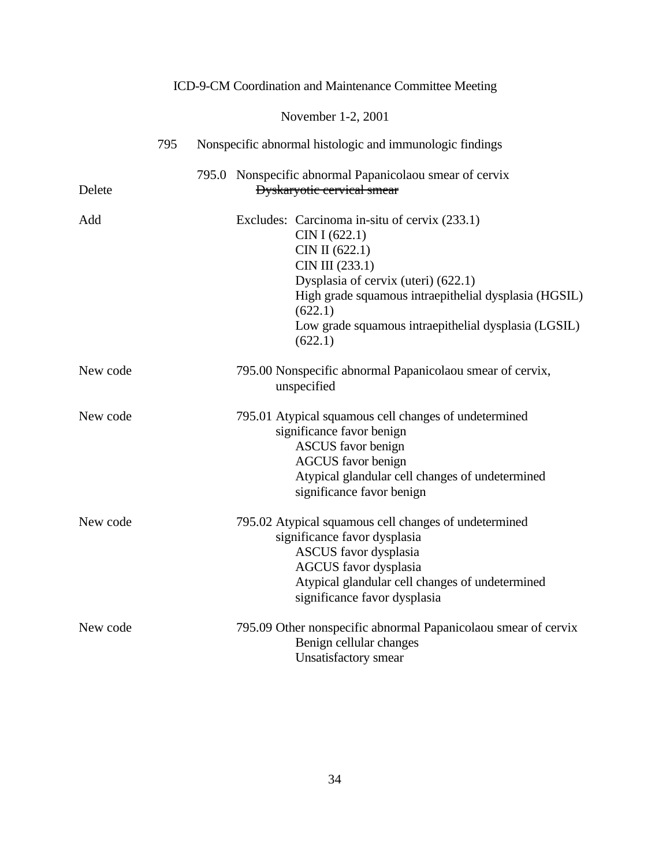|          |     |             | ICD-9-CM Coordination and Maintenance Committee Meeting                                                                                                                                                                                                                           |
|----------|-----|-------------|-----------------------------------------------------------------------------------------------------------------------------------------------------------------------------------------------------------------------------------------------------------------------------------|
|          |     |             | November 1-2, 2001                                                                                                                                                                                                                                                                |
|          | 795 |             | Nonspecific abnormal histologic and immunologic findings                                                                                                                                                                                                                          |
| Delete   |     |             | 795.0 Nonspecific abnormal Papanicolaou smear of cervix<br><b>Dyskaryotic cervical smear</b>                                                                                                                                                                                      |
| Add      |     |             | Excludes: Carcinoma in-situ of cervix (233.1)<br>CIN I (622.1)<br>CIN II (622.1)<br>CIN III (233.1)<br>Dysplasia of cervix (uteri) (622.1)<br>High grade squamous intraepithelial dysplasia (HGSIL)<br>(622.1)<br>Low grade squamous intraepithelial dysplasia (LGSIL)<br>(622.1) |
| New code |     | unspecified | 795.00 Nonspecific abnormal Papanicolaou smear of cervix,                                                                                                                                                                                                                         |
| New code |     |             | 795.01 Atypical squamous cell changes of undetermined<br>significance favor benign<br><b>ASCUS</b> favor benign<br><b>AGCUS</b> favor benign<br>Atypical glandular cell changes of undetermined<br>significance favor benign                                                      |
| New code |     |             | 795.02 Atypical squamous cell changes of undetermined<br>significance favor dysplasia<br>ASCUS favor dysplasia<br><b>AGCUS</b> favor dysplasia<br>Atypical glandular cell changes of undetermined<br>significance favor dysplasia                                                 |
| New code |     |             | 795.09 Other nonspecific abnormal Papanicolaou smear of cervix<br>Benign cellular changes<br>Unsatisfactory smear                                                                                                                                                                 |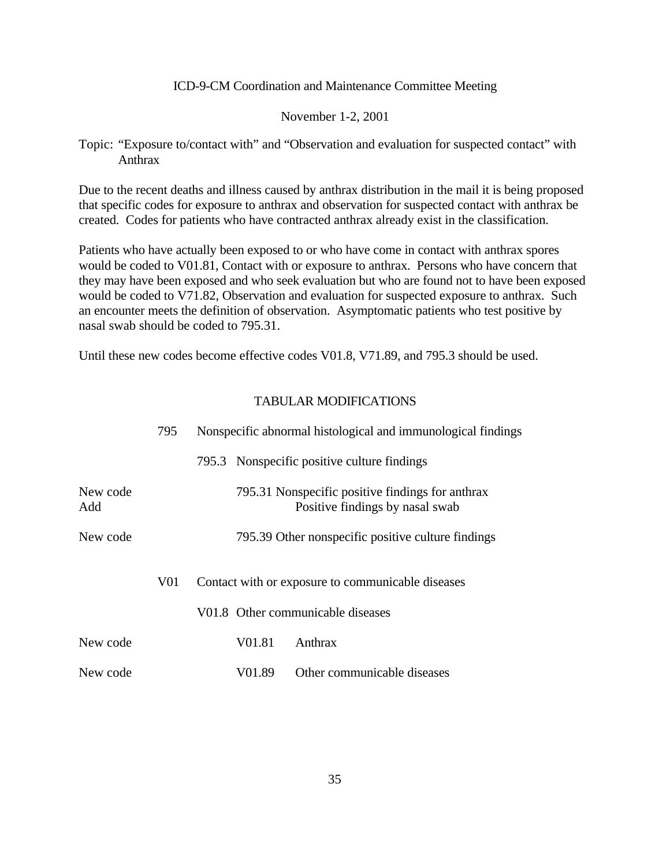#### November 1-2, 2001

Topic: "Exposure to/contact with" and "Observation and evaluation for suspected contact" with Anthrax

Due to the recent deaths and illness caused by anthrax distribution in the mail it is being proposed that specific codes for exposure to anthrax and observation for suspected contact with anthrax be created. Codes for patients who have contracted anthrax already exist in the classification.

Patients who have actually been exposed to or who have come in contact with anthrax spores would be coded to V01.81, Contact with or exposure to anthrax. Persons who have concern that they may have been exposed and who seek evaluation but who are found not to have been exposed would be coded to V71.82, Observation and evaluation for suspected exposure to anthrax. Such an encounter meets the definition of observation. Asymptomatic patients who test positive by nasal swab should be coded to 795.31.

Until these new codes become effective codes V01.8, V71.89, and 795.3 should be used.

|                 | 795 | Nonspecific abnormal histological and immunological findings |        |                                                                                     |
|-----------------|-----|--------------------------------------------------------------|--------|-------------------------------------------------------------------------------------|
|                 |     |                                                              |        | 795.3 Nonspecific positive culture findings                                         |
| New code<br>Add |     |                                                              |        | 795.31 Nonspecific positive findings for anthrax<br>Positive findings by nasal swab |
| New code        |     |                                                              |        | 795.39 Other nonspecific positive culture findings                                  |
|                 | V01 |                                                              |        | Contact with or exposure to communicable diseases                                   |
|                 |     |                                                              |        | V01.8 Other communicable diseases                                                   |
| New code        |     |                                                              | V01.81 | Anthrax                                                                             |
| New code        |     |                                                              | V01.89 | Other communicable diseases                                                         |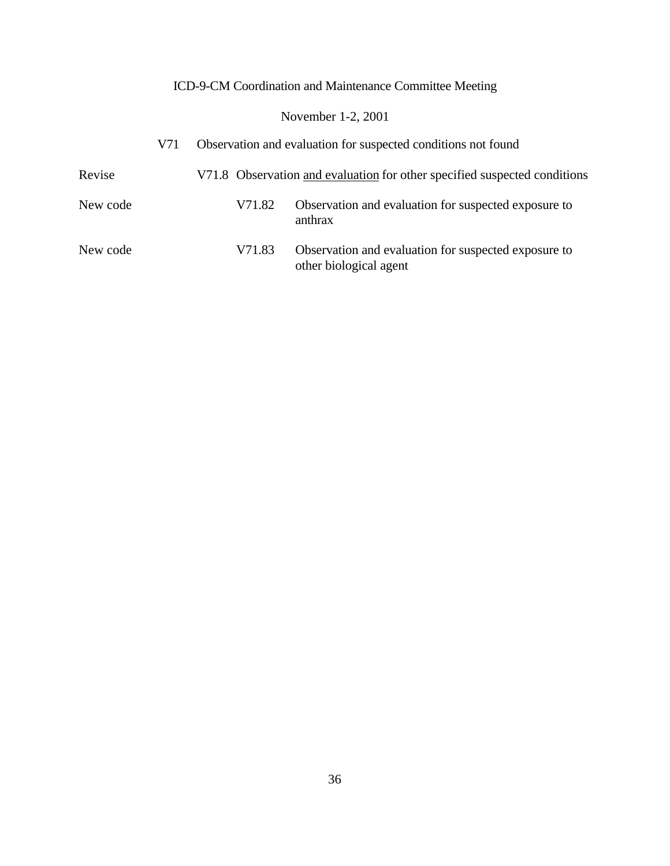# November 1-2, 2001

|          | V71 | Observation and evaluation for suspected conditions not found |                                                                                |  |
|----------|-----|---------------------------------------------------------------|--------------------------------------------------------------------------------|--|
| Revise   |     |                                                               | V71.8 Observation and evaluation for other specified suspected conditions      |  |
| New code |     | V71.82                                                        | Observation and evaluation for suspected exposure to<br>anthrax                |  |
| New code |     | V71.83                                                        | Observation and evaluation for suspected exposure to<br>other biological agent |  |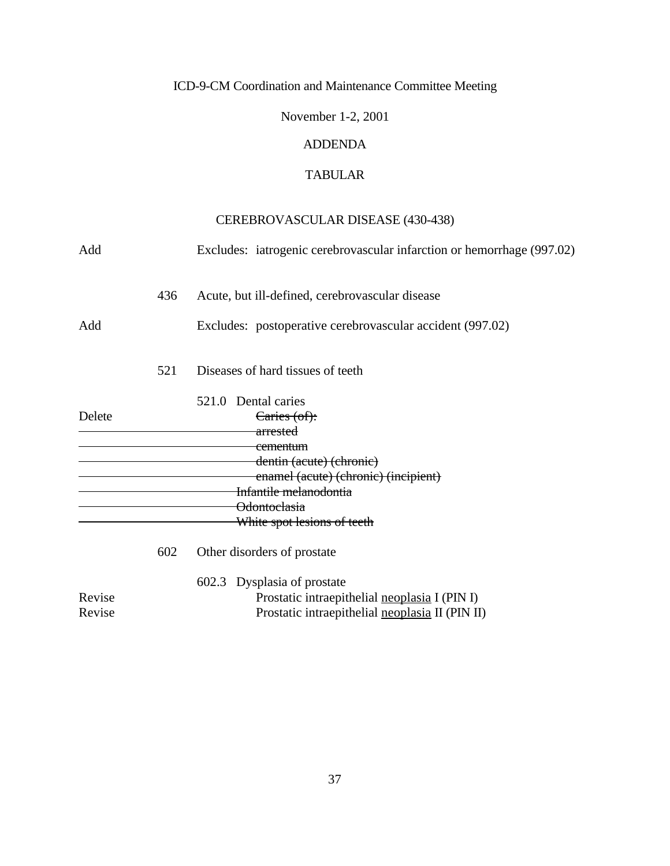November 1-2, 2001

### ADDENDA

## TABULAR

# CEREBROVASCULAR DISEASE (430-438)

| Add    |     | Excludes: iatrogenic cerebrovascular infarction or hemorrhage (997.02) |
|--------|-----|------------------------------------------------------------------------|
|        | 436 | Acute, but ill-defined, cerebrovascular disease                        |
| Add    |     | Excludes: postoperative cerebrovascular accident (997.02)              |
|        | 521 | Diseases of hard tissues of teeth                                      |
|        |     | 521.0 Dental caries                                                    |
| Delete |     | Caries (of):                                                           |
|        |     | <del>arrested</del>                                                    |
|        |     | <del>cementum</del>                                                    |
|        |     | dentin (acute) (chronic)                                               |
|        |     | enamel (acute) (chronic) (incipient)                                   |
|        |     | Infantile melanodontia                                                 |
|        |     | <del>Odontoclasia</del>                                                |
|        |     | White spot lesions of teeth                                            |
|        | 602 | Other disorders of prostate                                            |
|        |     | 602.3 Dysplasia of prostate                                            |
| Revise |     | Prostatic intraepithelial neoplasia I (PIN I)                          |
| Revise |     | Prostatic intraepithelial neoplasia II (PIN II)                        |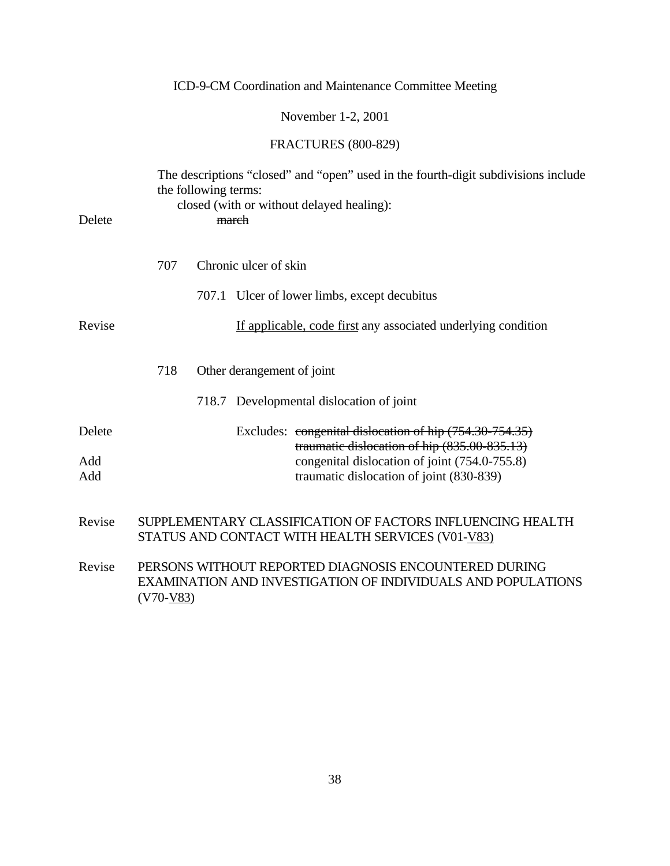November 1-2, 2001

# FRACTURES (800-829)

| Delete     |             | the following terms: | The descriptions "closed" and "open" used in the fourth-digit subdivisions include<br>closed (with or without delayed healing):<br>march |
|------------|-------------|----------------------|------------------------------------------------------------------------------------------------------------------------------------------|
|            | 707         |                      | Chronic ulcer of skin                                                                                                                    |
|            |             |                      | 707.1 Ulcer of lower limbs, except decubitus                                                                                             |
| Revise     |             |                      | If applicable, code first any associated underlying condition                                                                            |
|            | 718         |                      | Other derangement of joint                                                                                                               |
|            |             |                      | 718.7 Developmental dislocation of joint                                                                                                 |
| Delete     |             |                      | Excludes: congenital dislocation of hip (754.30-754.35)<br>traumatic dislocation of hip (835.00-835.13)                                  |
| Add<br>Add |             |                      | congenital dislocation of joint (754.0-755.8)<br>traumatic dislocation of joint (830-839)                                                |
| Revise     |             |                      | SUPPLEMENTARY CLASSIFICATION OF FACTORS INFLUENCING HEALTH<br>STATUS AND CONTACT WITH HEALTH SERVICES (V01-V83)                          |
| Revise     | $(V70-V83)$ |                      | PERSONS WITHOUT REPORTED DIAGNOSIS ENCOUNTERED DURING<br>EXAMINATION AND INVESTIGATION OF INDIVIDUALS AND POPULATIONS                    |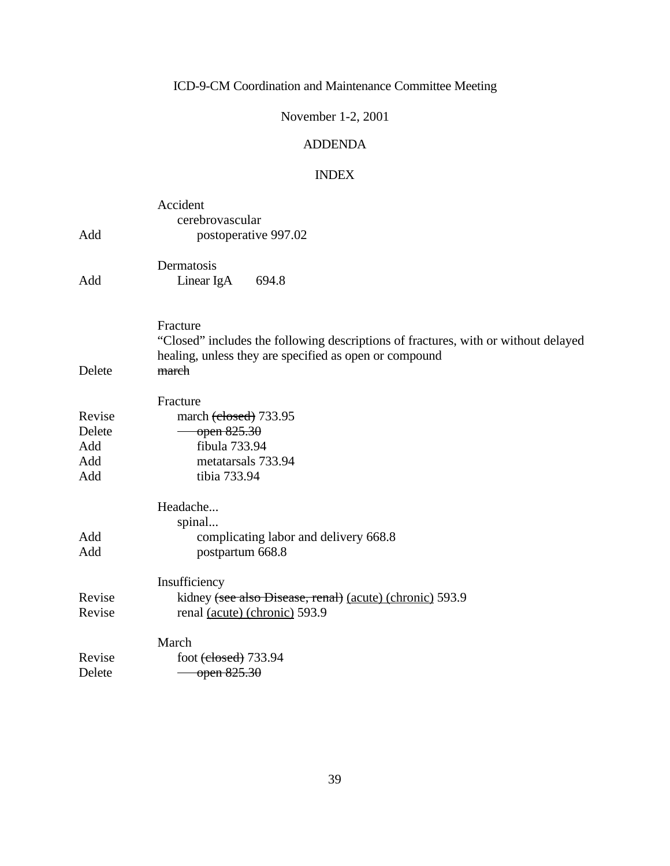### November 1-2, 2001

## ADDENDA

# INDEX

| Add                                   | Accident<br>cerebrovascular<br>postoperative 997.02                                                                                                               |
|---------------------------------------|-------------------------------------------------------------------------------------------------------------------------------------------------------------------|
| Add                                   | Dermatosis<br>Linear IgA<br>694.8                                                                                                                                 |
| Delete                                | Fracture<br>"Closed" includes the following descriptions of fractures, with or without delayed<br>healing, unless they are specified as open or compound<br>march |
| Revise<br>Delete<br>Add<br>Add<br>Add | Fracture<br>march (closed) 733.95<br>open 825.30<br>fibula 733.94<br>metatarsals 733.94<br>tibia 733.94                                                           |
| Add<br>Add                            | Headache<br>spinal<br>complicating labor and delivery 668.8<br>postpartum 668.8                                                                                   |
| Revise<br>Revise                      | Insufficiency<br>kidney (see also Disease, renal) (acute) (chronic) 593.9<br>renal (acute) (chronic) 593.9                                                        |
| Revise<br>Delete                      | March<br>foot <del>(closed)</del> 733.94<br>open 825.30                                                                                                           |